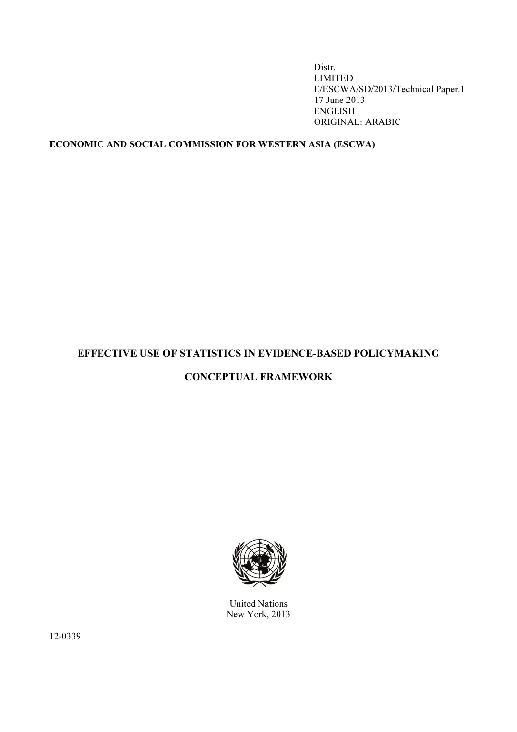Distr. LIMITED E/ESCWA/SD/2013/Technical Paper.1 17 June 2013 ENGLISH ORIGINAL: ARABIC

# ECONOMIC AND SOCIAL COMMISSION FOR WESTERN ASIA (ESCWA)

# EFFECTIVE USE OF STATISTICS IN EVIDENCE-BASED POLICYMAKING

# CONCEPTUAL FRAMEWORK



United Nations New York, 2013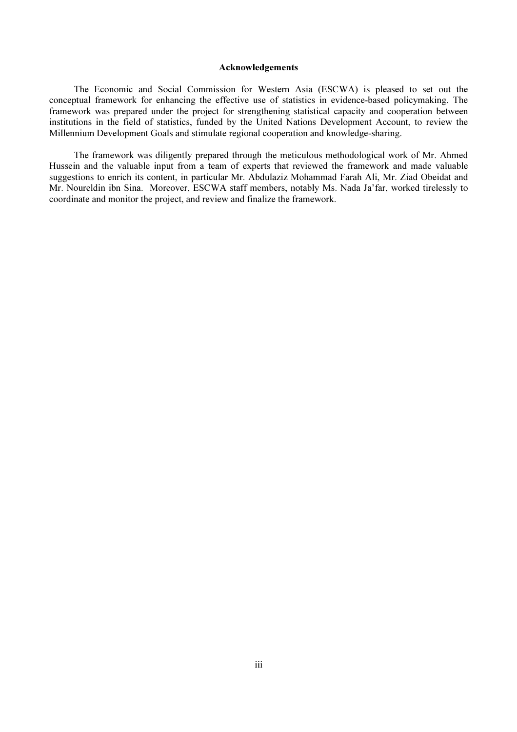#### Acknowledgements

 The Economic and Social Commission for Western Asia (ESCWA) is pleased to set out the conceptual framework for enhancing the effective use of statistics in evidence-based policymaking. The framework was prepared under the project for strengthening statistical capacity and cooperation between institutions in the field of statistics, funded by the United Nations Development Account, to review the Millennium Development Goals and stimulate regional cooperation and knowledge-sharing.

 The framework was diligently prepared through the meticulous methodological work of Mr. Ahmed Hussein and the valuable input from a team of experts that reviewed the framework and made valuable suggestions to enrich its content, in particular Mr. Abdulaziz Mohammad Farah Ali, Mr. Ziad Obeidat and Mr. Noureldin ibn Sina. Moreover, ESCWA staff members, notably Ms. Nada Ja'far, worked tirelessly to coordinate and monitor the project, and review and finalize the framework.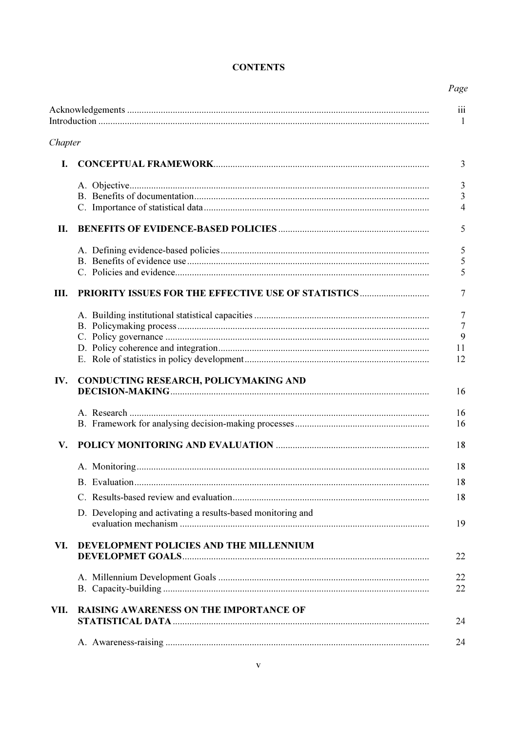| Chapter |                                                             |
|---------|-------------------------------------------------------------|
| L       |                                                             |
|         |                                                             |
| П.      |                                                             |
|         |                                                             |
| Ш.      | <b>PRIORITY ISSUES FOR THE EFFECTIVE USE OF STATISTICS</b>  |
|         |                                                             |
| IV.     | CONDUCTING RESEARCH, POLICYMAKING AND                       |
|         |                                                             |
| V.      |                                                             |
|         |                                                             |
|         | D. Developing and activating a results-based monitoring and |
| VI.     | DEVELOPMENT POLICIES AND THE MILLENNIUM                     |
|         |                                                             |
| VII.    | <b>RAISING AWARENESS ON THE IMPORTANCE OF</b>               |
|         |                                                             |

# **CONTENTS**

Page

 $\frac{1}{1}$ 

 $\overline{3}$ 

 $\begin{array}{c} 3 \\ 3 \\ 4 \end{array}$ 

 $\overline{5}$ 

 $\begin{array}{c} 5 \\ 5 \\ 5 \end{array}$ 

 $\overline{7}$ 

 $\begin{array}{c} 7 \\ 7 \\ 9 \end{array}$ 

 $11$  $\frac{1}{12}$ 

 $16$ 

 $16$  $16$ 

18

18 18 18

19

22

 $\begin{array}{c} 22 \\ 22 \end{array}$ 

24

24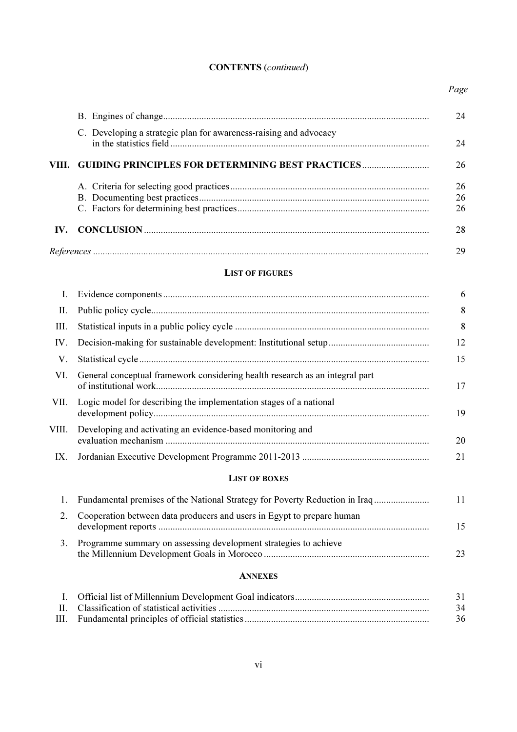# CONTENTS (*continued*)

*Page* 

|       |                                                                                                       | 24             |
|-------|-------------------------------------------------------------------------------------------------------|----------------|
|       | C. Developing a strategic plan for awareness-raising and advocacy                                     | 24             |
| VIII. | <b>GUIDING PRINCIPLES FOR DETERMINING BEST PRACTICES</b>                                              | 26             |
|       |                                                                                                       | 26<br>26<br>26 |
| IV.   |                                                                                                       | 28             |
|       |                                                                                                       | 29             |
|       | <b>LIST OF FIGURES</b>                                                                                |                |
| I.    |                                                                                                       | 6              |
| П.    |                                                                                                       | 8              |
| III.  |                                                                                                       | 8              |
| IV.   |                                                                                                       | 12             |
| V.    |                                                                                                       | 15             |
| VI.   | General conceptual framework considering health research as an integral part<br>of institutional work | 17             |

| VII. Logic model for describing the implementation stages of a national | 19 |
|-------------------------------------------------------------------------|----|
| VIII. Developing and activating an evidence-based monitoring and        | 20 |

# IX. Jordanian Executive Development Programme 2011-2013 ..................................................... 21

### LIST OF BOXES

|    | Fundamental premises of the National Strategy for Poverty Reduction in Iraq | 11 |
|----|-----------------------------------------------------------------------------|----|
|    | Cooperation between data producers and users in Egypt to prepare human      | 15 |
| 3. | Programme summary on assessing development strategies to achieve            |    |

# ANNEXES

|  | 31 |
|--|----|
|  | 34 |
|  | 36 |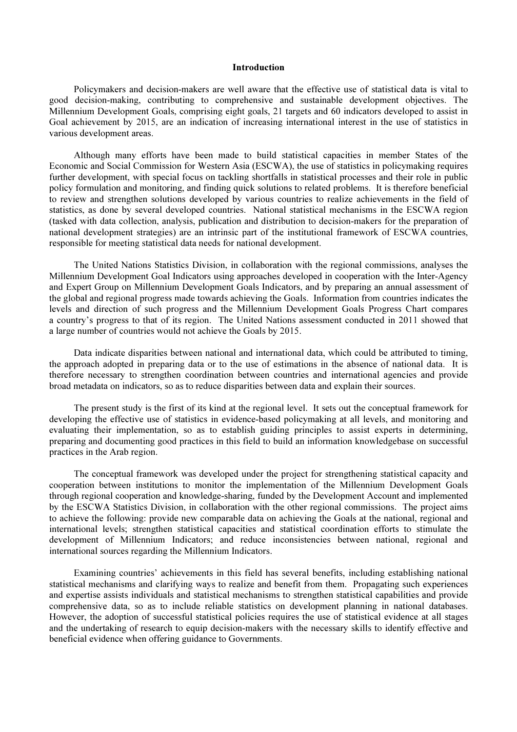#### **Introduction**

 Policymakers and decision-makers are well aware that the effective use of statistical data is vital to good decision-making, contributing to comprehensive and sustainable development objectives. The Millennium Development Goals, comprising eight goals, 21 targets and 60 indicators developed to assist in Goal achievement by 2015, are an indication of increasing international interest in the use of statistics in various development areas.

 Although many efforts have been made to build statistical capacities in member States of the Economic and Social Commission for Western Asia (ESCWA), the use of statistics in policymaking requires further development, with special focus on tackling shortfalls in statistical processes and their role in public policy formulation and monitoring, and finding quick solutions to related problems. It is therefore beneficial to review and strengthen solutions developed by various countries to realize achievements in the field of statistics, as done by several developed countries. National statistical mechanisms in the ESCWA region (tasked with data collection, analysis, publication and distribution to decision-makers for the preparation of national development strategies) are an intrinsic part of the institutional framework of ESCWA countries, responsible for meeting statistical data needs for national development.

 The United Nations Statistics Division, in collaboration with the regional commissions, analyses the Millennium Development Goal Indicators using approaches developed in cooperation with the Inter-Agency and Expert Group on Millennium Development Goals Indicators, and by preparing an annual assessment of the global and regional progress made towards achieving the Goals. Information from countries indicates the levels and direction of such progress and the Millennium Development Goals Progress Chart compares a country's progress to that of its region. The United Nations assessment conducted in 2011 showed that a large number of countries would not achieve the Goals by 2015.

 Data indicate disparities between national and international data, which could be attributed to timing, the approach adopted in preparing data or to the use of estimations in the absence of national data. It is therefore necessary to strengthen coordination between countries and international agencies and provide broad metadata on indicators, so as to reduce disparities between data and explain their sources.

 The present study is the first of its kind at the regional level. It sets out the conceptual framework for developing the effective use of statistics in evidence-based policymaking at all levels, and monitoring and evaluating their implementation, so as to establish guiding principles to assist experts in determining, preparing and documenting good practices in this field to build an information knowledgebase on successful practices in the Arab region.

 The conceptual framework was developed under the project for strengthening statistical capacity and cooperation between institutions to monitor the implementation of the Millennium Development Goals through regional cooperation and knowledge-sharing, funded by the Development Account and implemented by the ESCWA Statistics Division, in collaboration with the other regional commissions. The project aims to achieve the following: provide new comparable data on achieving the Goals at the national, regional and international levels; strengthen statistical capacities and statistical coordination efforts to stimulate the development of Millennium Indicators; and reduce inconsistencies between national, regional and international sources regarding the Millennium Indicators.

 Examining countries' achievements in this field has several benefits, including establishing national statistical mechanisms and clarifying ways to realize and benefit from them. Propagating such experiences and expertise assists individuals and statistical mechanisms to strengthen statistical capabilities and provide comprehensive data, so as to include reliable statistics on development planning in national databases. However, the adoption of successful statistical policies requires the use of statistical evidence at all stages and the undertaking of research to equip decision-makers with the necessary skills to identify effective and beneficial evidence when offering guidance to Governments.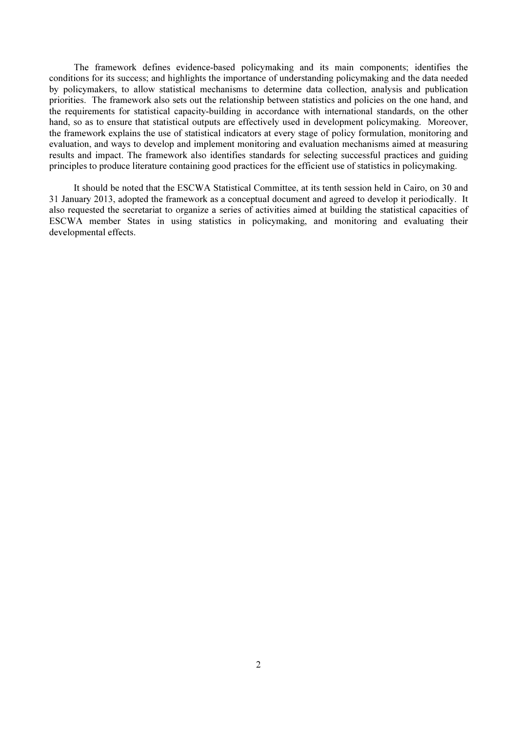The framework defines evidence-based policymaking and its main components; identifies the conditions for its success; and highlights the importance of understanding policymaking and the data needed by policymakers, to allow statistical mechanisms to determine data collection, analysis and publication priorities. The framework also sets out the relationship between statistics and policies on the one hand, and the requirements for statistical capacity-building in accordance with international standards, on the other hand, so as to ensure that statistical outputs are effectively used in development policymaking. Moreover, the framework explains the use of statistical indicators at every stage of policy formulation, monitoring and evaluation, and ways to develop and implement monitoring and evaluation mechanisms aimed at measuring results and impact. The framework also identifies standards for selecting successful practices and guiding principles to produce literature containing good practices for the efficient use of statistics in policymaking.

 It should be noted that the ESCWA Statistical Committee, at its tenth session held in Cairo, on 30 and 31 January 2013, adopted the framework as a conceptual document and agreed to develop it periodically. It also requested the secretariat to organize a series of activities aimed at building the statistical capacities of ESCWA member States in using statistics in policymaking, and monitoring and evaluating their developmental effects.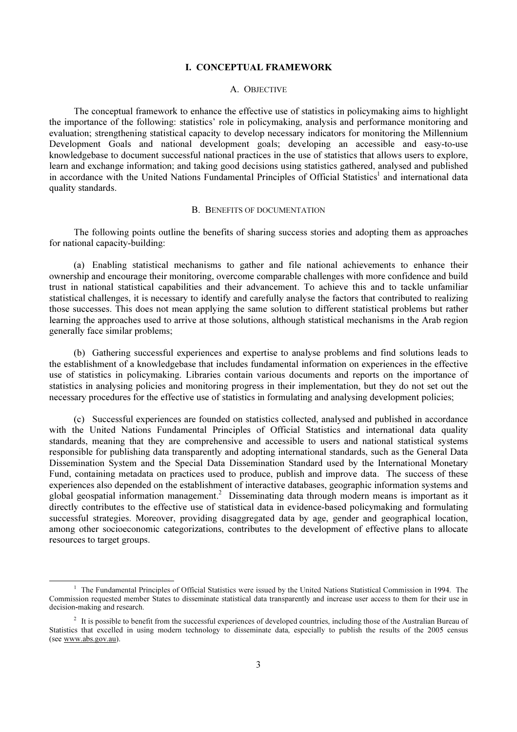### I. CONCEPTUAL FRAMEWORK

#### A. OBJECTIVE

 The conceptual framework to enhance the effective use of statistics in policymaking aims to highlight the importance of the following: statistics' role in policymaking, analysis and performance monitoring and evaluation; strengthening statistical capacity to develop necessary indicators for monitoring the Millennium Development Goals and national development goals; developing an accessible and easy-to-use knowledgebase to document successful national practices in the use of statistics that allows users to explore, learn and exchange information; and taking good decisions using statistics gathered, analysed and published in accordance with the United Nations Fundamental Principles of Official Statistics<sup>1</sup> and international data quality standards.

#### B. BENEFITS OF DOCUMENTATION

 The following points outline the benefits of sharing success stories and adopting them as approaches for national capacity-building:

 (a) Enabling statistical mechanisms to gather and file national achievements to enhance their ownership and encourage their monitoring, overcome comparable challenges with more confidence and build trust in national statistical capabilities and their advancement. To achieve this and to tackle unfamiliar statistical challenges, it is necessary to identify and carefully analyse the factors that contributed to realizing those successes. This does not mean applying the same solution to different statistical problems but rather learning the approaches used to arrive at those solutions, although statistical mechanisms in the Arab region generally face similar problems;

 (b) Gathering successful experiences and expertise to analyse problems and find solutions leads to the establishment of a knowledgebase that includes fundamental information on experiences in the effective use of statistics in policymaking. Libraries contain various documents and reports on the importance of statistics in analysing policies and monitoring progress in their implementation, but they do not set out the necessary procedures for the effective use of statistics in formulating and analysing development policies;

 (c) Successful experiences are founded on statistics collected, analysed and published in accordance with the United Nations Fundamental Principles of Official Statistics and international data quality standards, meaning that they are comprehensive and accessible to users and national statistical systems responsible for publishing data transparently and adopting international standards, such as the General Data Dissemination System and the Special Data Dissemination Standard used by the International Monetary Fund, containing metadata on practices used to produce, publish and improve data. The success of these experiences also depended on the establishment of interactive databases, geographic information systems and global geospatial information management.<sup>2</sup> Disseminating data through modern means is important as it directly contributes to the effective use of statistical data in evidence-based policymaking and formulating successful strategies. Moreover, providing disaggregated data by age, gender and geographical location, among other socioeconomic categorizations, contributes to the development of effective plans to allocate resources to target groups.

 $\ddot{\phantom{a}}$ 

<sup>&</sup>lt;sup>1</sup> The Fundamental Principles of Official Statistics were issued by the United Nations Statistical Commission in 1994. The Commission requested member States to disseminate statistical data transparently and increase user access to them for their use in decision-making and research.

<sup>&</sup>lt;sup>2</sup> It is possible to benefit from the successful experiences of developed countries, including those of the Australian Bureau of Statistics that excelled in using modern technology to disseminate data, especially to publish the results of the 2005 census (see www.abs.gov.au).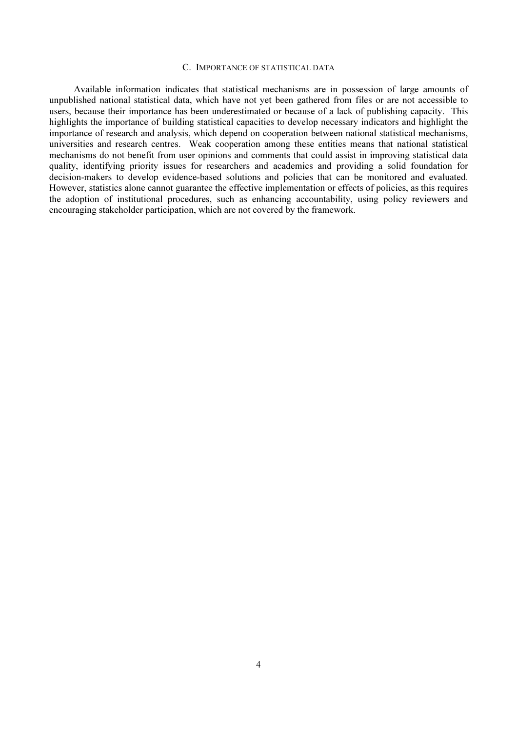#### C. IMPORTANCE OF STATISTICAL DATA

 Available information indicates that statistical mechanisms are in possession of large amounts of unpublished national statistical data, which have not yet been gathered from files or are not accessible to users, because their importance has been underestimated or because of a lack of publishing capacity. This highlights the importance of building statistical capacities to develop necessary indicators and highlight the importance of research and analysis, which depend on cooperation between national statistical mechanisms, universities and research centres. Weak cooperation among these entities means that national statistical mechanisms do not benefit from user opinions and comments that could assist in improving statistical data quality, identifying priority issues for researchers and academics and providing a solid foundation for decision-makers to develop evidence-based solutions and policies that can be monitored and evaluated. However, statistics alone cannot guarantee the effective implementation or effects of policies, as this requires the adoption of institutional procedures, such as enhancing accountability, using policy reviewers and encouraging stakeholder participation, which are not covered by the framework.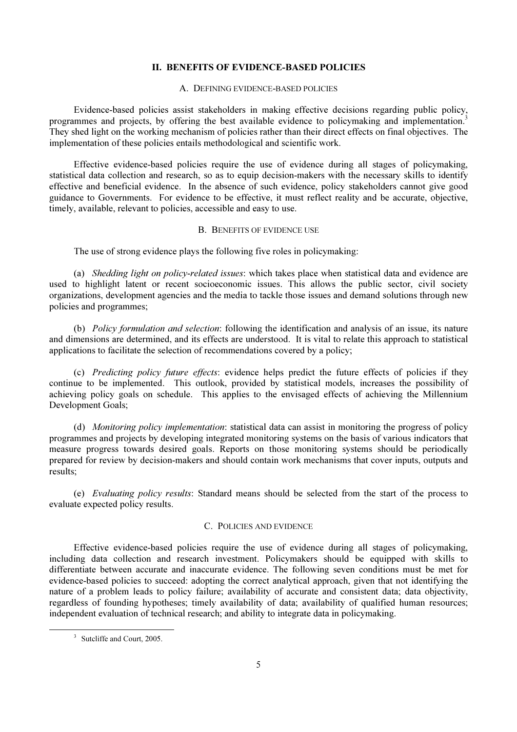#### II. BENEFITS OF EVIDENCE-BASED POLICIES

#### A. DEFINING EVIDENCE-BASED POLICIES

 Evidence-based policies assist stakeholders in making effective decisions regarding public policy, programmes and projects, by offering the best available evidence to policymaking and implementation.<sup>3</sup> They shed light on the working mechanism of policies rather than their direct effects on final objectives. The implementation of these policies entails methodological and scientific work.

 Effective evidence-based policies require the use of evidence during all stages of policymaking, statistical data collection and research, so as to equip decision-makers with the necessary skills to identify effective and beneficial evidence. In the absence of such evidence, policy stakeholders cannot give good guidance to Governments. For evidence to be effective, it must reflect reality and be accurate, objective, timely, available, relevant to policies, accessible and easy to use.

#### B. BENEFITS OF EVIDENCE USE

The use of strong evidence plays the following five roles in policymaking:

 (a) *Shedding light on policy-related issues*: which takes place when statistical data and evidence are used to highlight latent or recent socioeconomic issues. This allows the public sector, civil society organizations, development agencies and the media to tackle those issues and demand solutions through new policies and programmes;

 (b) *Policy formulation and selection*: following the identification and analysis of an issue, its nature and dimensions are determined, and its effects are understood. It is vital to relate this approach to statistical applications to facilitate the selection of recommendations covered by a policy;

 (c) *Predicting policy future effects*: evidence helps predict the future effects of policies if they continue to be implemented. This outlook, provided by statistical models, increases the possibility of achieving policy goals on schedule. This applies to the envisaged effects of achieving the Millennium Development Goals;

 (d) *Monitoring policy implementation*: statistical data can assist in monitoring the progress of policy programmes and projects by developing integrated monitoring systems on the basis of various indicators that measure progress towards desired goals. Reports on those monitoring systems should be periodically prepared for review by decision-makers and should contain work mechanisms that cover inputs, outputs and results;

 (e) *Evaluating policy results*: Standard means should be selected from the start of the process to evaluate expected policy results.

#### C. POLICIES AND EVIDENCE

 Effective evidence-based policies require the use of evidence during all stages of policymaking, including data collection and research investment. Policymakers should be equipped with skills to differentiate between accurate and inaccurate evidence. The following seven conditions must be met for evidence-based policies to succeed: adopting the correct analytical approach, given that not identifying the nature of a problem leads to policy failure; availability of accurate and consistent data; data objectivity, regardless of founding hypotheses; timely availability of data; availability of qualified human resources; independent evaluation of technical research; and ability to integrate data in policymaking.

<sup>&</sup>lt;sup>3</sup> Sutcliffe and Court, 2005.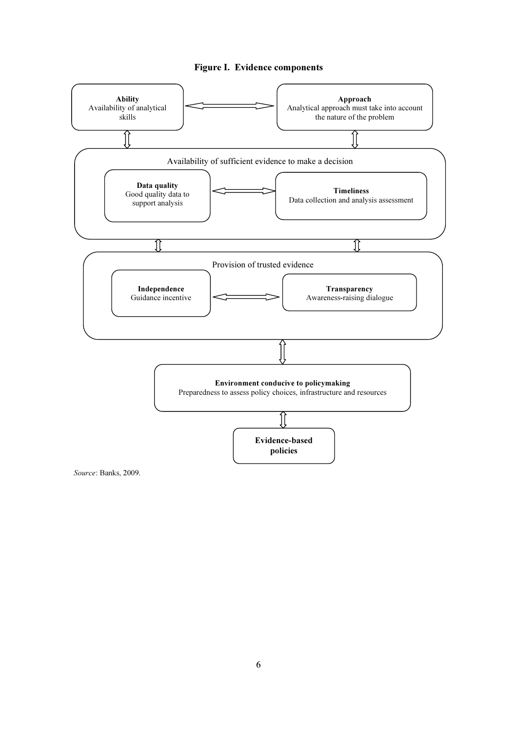### Figure I. Evidence components



Source: Banks, 2009.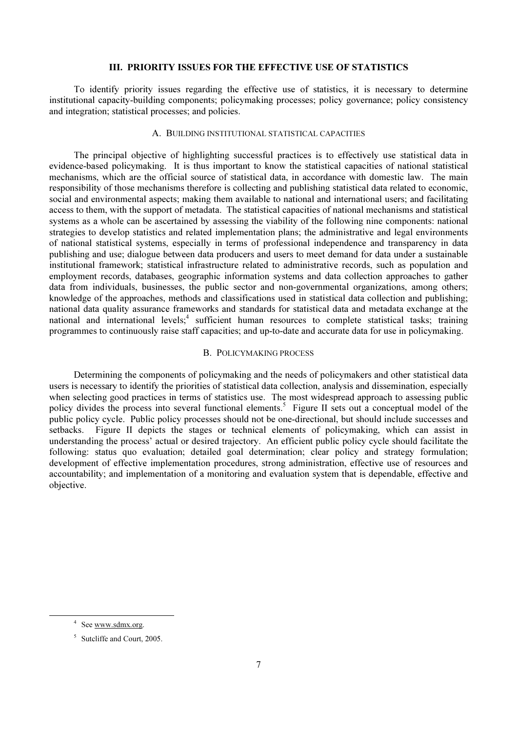### III. PRIORITY ISSUES FOR THE EFFECTIVE USE OF STATISTICS

 To identify priority issues regarding the effective use of statistics, it is necessary to determine institutional capacity-building components; policymaking processes; policy governance; policy consistency and integration; statistical processes; and policies.

### A. BUILDING INSTITUTIONAL STATISTICAL CAPACITIES

 The principal objective of highlighting successful practices is to effectively use statistical data in evidence-based policymaking. It is thus important to know the statistical capacities of national statistical mechanisms, which are the official source of statistical data, in accordance with domestic law. The main responsibility of those mechanisms therefore is collecting and publishing statistical data related to economic, social and environmental aspects; making them available to national and international users; and facilitating access to them, with the support of metadata. The statistical capacities of national mechanisms and statistical systems as a whole can be ascertained by assessing the viability of the following nine components: national strategies to develop statistics and related implementation plans; the administrative and legal environments of national statistical systems, especially in terms of professional independence and transparency in data publishing and use; dialogue between data producers and users to meet demand for data under a sustainable institutional framework; statistical infrastructure related to administrative records, such as population and employment records, databases, geographic information systems and data collection approaches to gather data from individuals, businesses, the public sector and non-governmental organizations, among others; knowledge of the approaches, methods and classifications used in statistical data collection and publishing; national data quality assurance frameworks and standards for statistical data and metadata exchange at the national and international levels;<sup>4</sup> sufficient human resources to complete statistical tasks; training programmes to continuously raise staff capacities; and up-to-date and accurate data for use in policymaking.

#### B. POLICYMAKING PROCESS

 Determining the components of policymaking and the needs of policymakers and other statistical data users is necessary to identify the priorities of statistical data collection, analysis and dissemination, especially when selecting good practices in terms of statistics use. The most widespread approach to assessing public policy divides the process into several functional elements.<sup>5</sup> Figure II sets out a conceptual model of the public policy cycle. Public policy processes should not be one-directional, but should include successes and setbacks. Figure II depicts the stages or technical elements of policymaking, which can assist in understanding the process' actual or desired trajectory. An efficient public policy cycle should facilitate the following: status quo evaluation; detailed goal determination; clear policy and strategy formulation; development of effective implementation procedures, strong administration, effective use of resources and accountability; and implementation of a monitoring and evaluation system that is dependable, effective and objective.

 $\ddot{\phantom{a}}$ 

<sup>&</sup>lt;sup>4</sup> See <u>www.sdmx.org</u>.

<sup>5</sup> Sutcliffe and Court, 2005.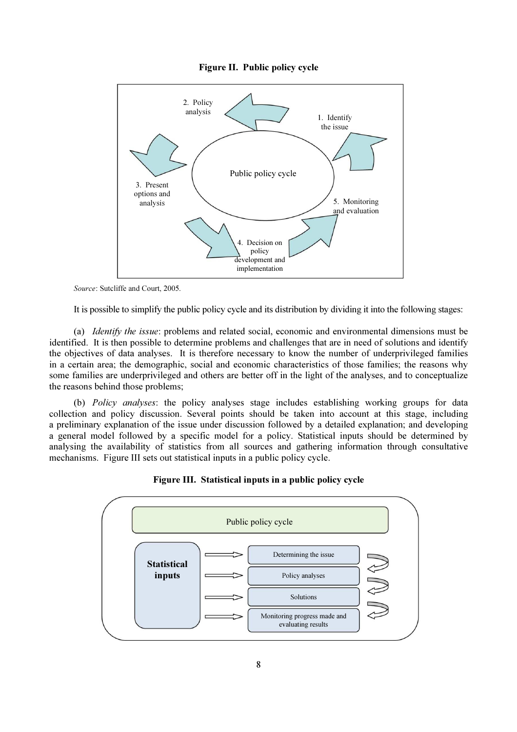



Source: Sutcliffe and Court, 2005.

It is possible to simplify the public policy cycle and its distribution by dividing it into the following stages:

 (a) *Identify the issue*: problems and related social, economic and environmental dimensions must be identified. It is then possible to determine problems and challenges that are in need of solutions and identify the objectives of data analyses. It is therefore necessary to know the number of underprivileged families in a certain area; the demographic, social and economic characteristics of those families; the reasons why some families are underprivileged and others are better off in the light of the analyses, and to conceptualize the reasons behind those problems;

 (b) *Policy analyses*: the policy analyses stage includes establishing working groups for data collection and policy discussion. Several points should be taken into account at this stage, including a preliminary explanation of the issue under discussion followed by a detailed explanation; and developing a general model followed by a specific model for a policy. Statistical inputs should be determined by analysing the availability of statistics from all sources and gathering information through consultative mechanisms. Figure III sets out statistical inputs in a public policy cycle.



Figure III. Statistical inputs in a public policy cycle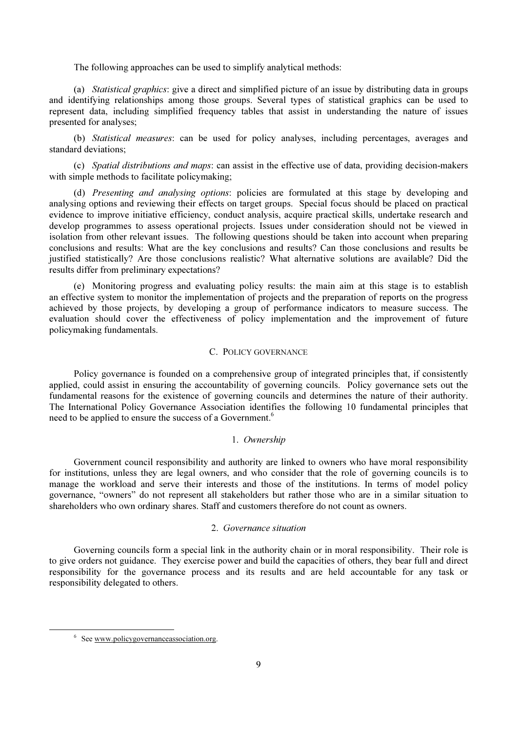The following approaches can be used to simplify analytical methods:

 (a) *Statistical graphics*: give a direct and simplified picture of an issue by distributing data in groups and identifying relationships among those groups. Several types of statistical graphics can be used to represent data, including simplified frequency tables that assist in understanding the nature of issues presented for analyses;

 (b) *Statistical measures*: can be used for policy analyses, including percentages, averages and standard deviations;

 (c) *Spatial distributions and maps*: can assist in the effective use of data, providing decision-makers with simple methods to facilitate policymaking;

 (d) *Presenting and analysing options*: policies are formulated at this stage by developing and analysing options and reviewing their effects on target groups. Special focus should be placed on practical evidence to improve initiative efficiency, conduct analysis, acquire practical skills, undertake research and develop programmes to assess operational projects. Issues under consideration should not be viewed in isolation from other relevant issues. The following questions should be taken into account when preparing conclusions and results: What are the key conclusions and results? Can those conclusions and results be justified statistically? Are those conclusions realistic? What alternative solutions are available? Did the results differ from preliminary expectations?

 (e) Monitoring progress and evaluating policy results: the main aim at this stage is to establish an effective system to monitor the implementation of projects and the preparation of reports on the progress achieved by those projects, by developing a group of performance indicators to measure success. The evaluation should cover the effectiveness of policy implementation and the improvement of future policymaking fundamentals.

### C. POLICY GOVERNANCE

 Policy governance is founded on a comprehensive group of integrated principles that, if consistently applied, could assist in ensuring the accountability of governing councils. Policy governance sets out the fundamental reasons for the existence of governing councils and determines the nature of their authority. The International Policy Governance Association identifies the following 10 fundamental principles that need to be applied to ensure the success of a Government.<sup>6</sup>

#### 1. *Ownership*

 Government council responsibility and authority are linked to owners who have moral responsibility for institutions, unless they are legal owners, and who consider that the role of governing councils is to manage the workload and serve their interests and those of the institutions. In terms of model policy governance, "owners" do not represent all stakeholders but rather those who are in a similar situation to shareholders who own ordinary shares. Staff and customers therefore do not count as owners.

### 2. *Governance situation*

 Governing councils form a special link in the authority chain or in moral responsibility. Their role is to give orders not guidance. They exercise power and build the capacities of others, they bear full and direct responsibility for the governance process and its results and are held accountable for any task or responsibility delegated to others.

<sup>&</sup>lt;sup>6</sup> See www.policygovernanceassociation.org.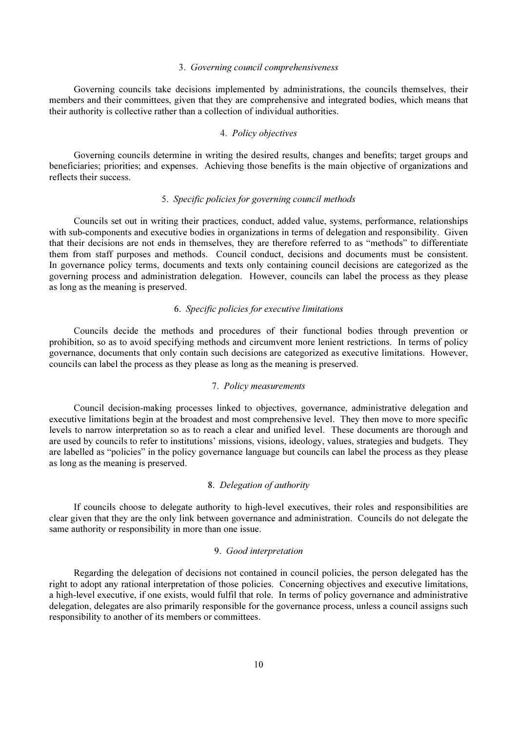#### 3. *Governing council comprehensiveness*

 Governing councils take decisions implemented by administrations, the councils themselves, their members and their committees, given that they are comprehensive and integrated bodies, which means that their authority is collective rather than a collection of individual authorities.

#### 4. *Policy objectives*

 Governing councils determine in writing the desired results, changes and benefits; target groups and beneficiaries; priorities; and expenses. Achieving those benefits is the main objective of organizations and reflects their success.

### 5. *Specific policies for governing council methods*

 Councils set out in writing their practices, conduct, added value, systems, performance, relationships with sub-components and executive bodies in organizations in terms of delegation and responsibility. Given that their decisions are not ends in themselves, they are therefore referred to as "methods" to differentiate them from staff purposes and methods. Council conduct, decisions and documents must be consistent. In governance policy terms, documents and texts only containing council decisions are categorized as the governing process and administration delegation. However, councils can label the process as they please as long as the meaning is preserved.

#### 6. *Specific policies for executive limitations*

 Councils decide the methods and procedures of their functional bodies through prevention or prohibition, so as to avoid specifying methods and circumvent more lenient restrictions. In terms of policy governance, documents that only contain such decisions are categorized as executive limitations. However, councils can label the process as they please as long as the meaning is preserved.

### 7. *Policy measurements*

 Council decision-making processes linked to objectives, governance, administrative delegation and executive limitations begin at the broadest and most comprehensive level. They then move to more specific levels to narrow interpretation so as to reach a clear and unified level. These documents are thorough and are used by councils to refer to institutions' missions, visions, ideology, values, strategies and budgets. They are labelled as "policies" in the policy governance language but councils can label the process as they please as long as the meaning is preserved.

#### 8. *Delegation of authority*

 If councils choose to delegate authority to high-level executives, their roles and responsibilities are clear given that they are the only link between governance and administration. Councils do not delegate the same authority or responsibility in more than one issue.

#### 9. *Good interpretation*

 Regarding the delegation of decisions not contained in council policies, the person delegated has the right to adopt any rational interpretation of those policies. Concerning objectives and executive limitations, a high-level executive, if one exists, would fulfil that role. In terms of policy governance and administrative delegation, delegates are also primarily responsible for the governance process, unless a council assigns such responsibility to another of its members or committees.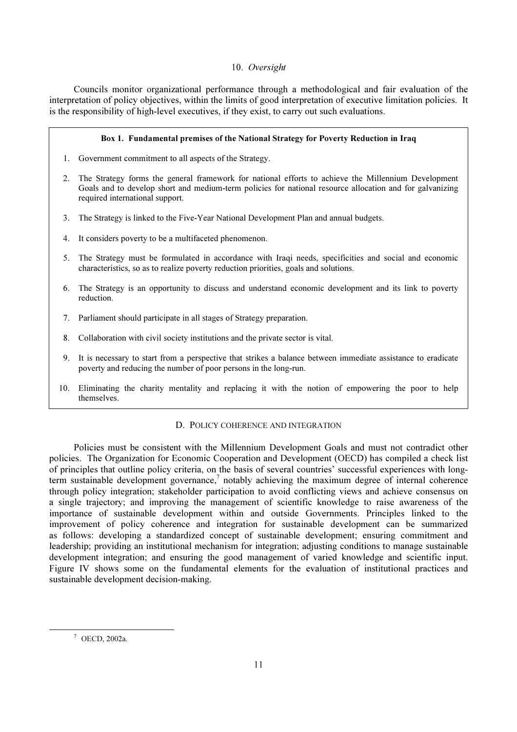### 10. *Oversight*

 Councils monitor organizational performance through a methodological and fair evaluation of the interpretation of policy objectives, within the limits of good interpretation of executive limitation policies. It is the responsibility of high-level executives, if they exist, to carry out such evaluations.

#### Box 1. Fundamental premises of the National Strategy for Poverty Reduction in Iraq

- 1. Government commitment to all aspects of the Strategy.
- 2. The Strategy forms the general framework for national efforts to achieve the Millennium Development Goals and to develop short and medium-term policies for national resource allocation and for galvanizing required international support.
- 3. The Strategy is linked to the Five-Year National Development Plan and annual budgets.
- 4. It considers poverty to be a multifaceted phenomenon.
- 5. The Strategy must be formulated in accordance with Iraqi needs, specificities and social and economic characteristics, so as to realize poverty reduction priorities, goals and solutions.
- 6. The Strategy is an opportunity to discuss and understand economic development and its link to poverty reduction.
- 7. Parliament should participate in all stages of Strategy preparation.
- 8. Collaboration with civil society institutions and the private sector is vital.
- 9. It is necessary to start from a perspective that strikes a balance between immediate assistance to eradicate poverty and reducing the number of poor persons in the long-run.
- 10. Eliminating the charity mentality and replacing it with the notion of empowering the poor to help themselves.

#### D. POLICY COHERENCE AND INTEGRATION

 Policies must be consistent with the Millennium Development Goals and must not contradict other policies. The Organization for Economic Cooperation and Development (OECD) has compiled a check list of principles that outline policy criteria, on the basis of several countries' successful experiences with longterm sustainable development governance,<sup>7</sup> notably achieving the maximum degree of internal coherence through policy integration; stakeholder participation to avoid conflicting views and achieve consensus on a single trajectory; and improving the management of scientific knowledge to raise awareness of the importance of sustainable development within and outside Governments. Principles linked to the improvement of policy coherence and integration for sustainable development can be summarized as follows: developing a standardized concept of sustainable development; ensuring commitment and leadership; providing an institutional mechanism for integration; adjusting conditions to manage sustainable development integration; and ensuring the good management of varied knowledge and scientific input. Figure IV shows some on the fundamental elements for the evaluation of institutional practices and sustainable development decision-making.

<sup>7</sup> OECD, 2002a.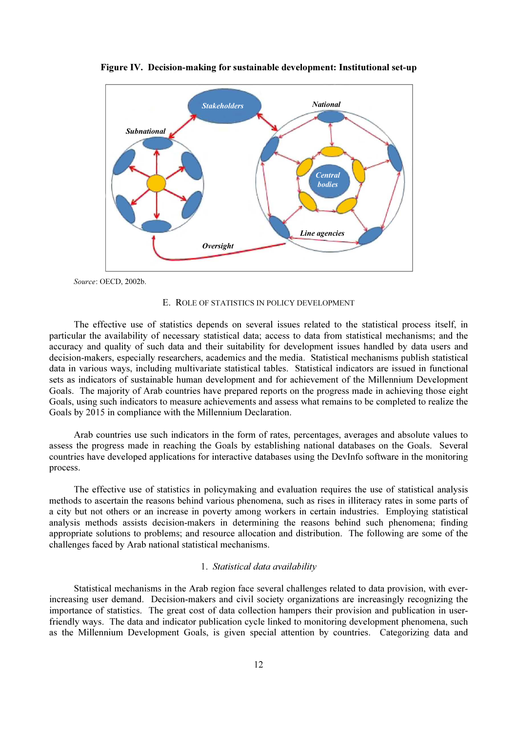

Figure IV. Decision-making for sustainable development: Institutional set-up

Source: OECD, 2002b.

#### E. ROLE OF STATISTICS IN POLICY DEVELOPMENT

 The effective use of statistics depends on several issues related to the statistical process itself, in particular the availability of necessary statistical data; access to data from statistical mechanisms; and the accuracy and quality of such data and their suitability for development issues handled by data users and decision-makers, especially researchers, academics and the media. Statistical mechanisms publish statistical data in various ways, including multivariate statistical tables. Statistical indicators are issued in functional sets as indicators of sustainable human development and for achievement of the Millennium Development Goals. The majority of Arab countries have prepared reports on the progress made in achieving those eight Goals, using such indicators to measure achievements and assess what remains to be completed to realize the Goals by 2015 in compliance with the Millennium Declaration.

 Arab countries use such indicators in the form of rates, percentages, averages and absolute values to assess the progress made in reaching the Goals by establishing national databases on the Goals. Several countries have developed applications for interactive databases using the DevInfo software in the monitoring process.

 The effective use of statistics in policymaking and evaluation requires the use of statistical analysis methods to ascertain the reasons behind various phenomena, such as rises in illiteracy rates in some parts of a city but not others or an increase in poverty among workers in certain industries. Employing statistical analysis methods assists decision-makers in determining the reasons behind such phenomena; finding appropriate solutions to problems; and resource allocation and distribution. The following are some of the challenges faced by Arab national statistical mechanisms.

### 1. *Statistical data availability*

 Statistical mechanisms in the Arab region face several challenges related to data provision, with everincreasing user demand. Decision-makers and civil society organizations are increasingly recognizing the importance of statistics. The great cost of data collection hampers their provision and publication in userfriendly ways. The data and indicator publication cycle linked to monitoring development phenomena, such as the Millennium Development Goals, is given special attention by countries. Categorizing data and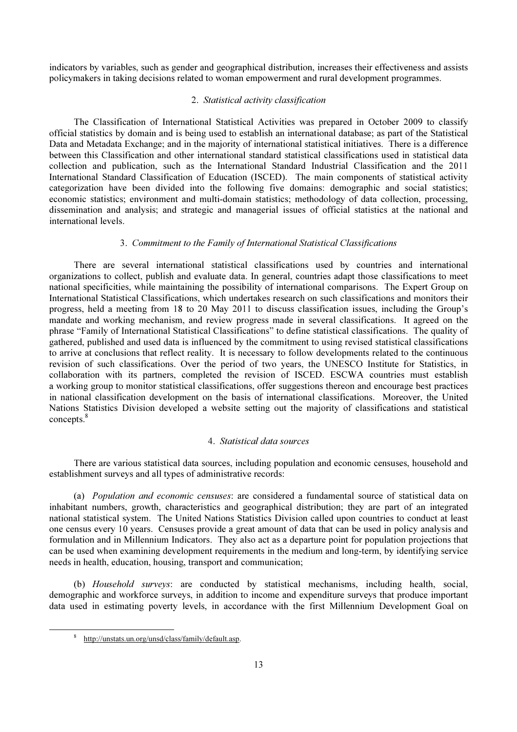indicators by variables, such as gender and geographical distribution, increases their effectiveness and assists policymakers in taking decisions related to woman empowerment and rural development programmes.

### 2. *Statistical activity classification*

 The Classification of International Statistical Activities was prepared in October 2009 to classify official statistics by domain and is being used to establish an international database; as part of the Statistical Data and Metadata Exchange; and in the majority of international statistical initiatives. There is a difference between this Classification and other international standard statistical classifications used in statistical data collection and publication, such as the International Standard Industrial Classification and the 2011 International Standard Classification of Education (ISCED). The main components of statistical activity categorization have been divided into the following five domains: demographic and social statistics; economic statistics; environment and multi-domain statistics; methodology of data collection, processing, dissemination and analysis; and strategic and managerial issues of official statistics at the national and international levels.

### 3. *Commitment to the Family of International Statistical Classifications*

 There are several international statistical classifications used by countries and international organizations to collect, publish and evaluate data. In general, countries adapt those classifications to meet national specificities, while maintaining the possibility of international comparisons. The Expert Group on International Statistical Classifications, which undertakes research on such classifications and monitors their progress, held a meeting from 18 to 20 May 2011 to discuss classification issues, including the Group's mandate and working mechanism, and review progress made in several classifications. It agreed on the phrase "Family of International Statistical Classifications" to define statistical classifications. The quality of gathered, published and used data is influenced by the commitment to using revised statistical classifications to arrive at conclusions that reflect reality. It is necessary to follow developments related to the continuous revision of such classifications. Over the period of two years, the UNESCO Institute for Statistics, in collaboration with its partners, completed the revision of ISCED. ESCWA countries must establish a working group to monitor statistical classifications, offer suggestions thereon and encourage best practices in national classification development on the basis of international classifications. Moreover, the United Nations Statistics Division developed a website setting out the majority of classifications and statistical concepts.<sup>8</sup>

# 4. *Statistical data sources*

 There are various statistical data sources, including population and economic censuses, household and establishment surveys and all types of administrative records:

 (a) *Population and economic censuses*: are considered a fundamental source of statistical data on inhabitant numbers, growth, characteristics and geographical distribution; they are part of an integrated national statistical system. The United Nations Statistics Division called upon countries to conduct at least one census every 10 years. Censuses provide a great amount of data that can be used in policy analysis and formulation and in Millennium Indicators. They also act as a departure point for population projections that can be used when examining development requirements in the medium and long-term, by identifying service needs in health, education, housing, transport and communication;

 (b) *Household surveys*: are conducted by statistical mechanisms, including health, social, demographic and workforce surveys, in addition to income and expenditure surveys that produce important data used in estimating poverty levels, in accordance with the first Millennium Development Goal on

<sup>8</sup> http://unstats.un.org/unsd/class/family/default.asp.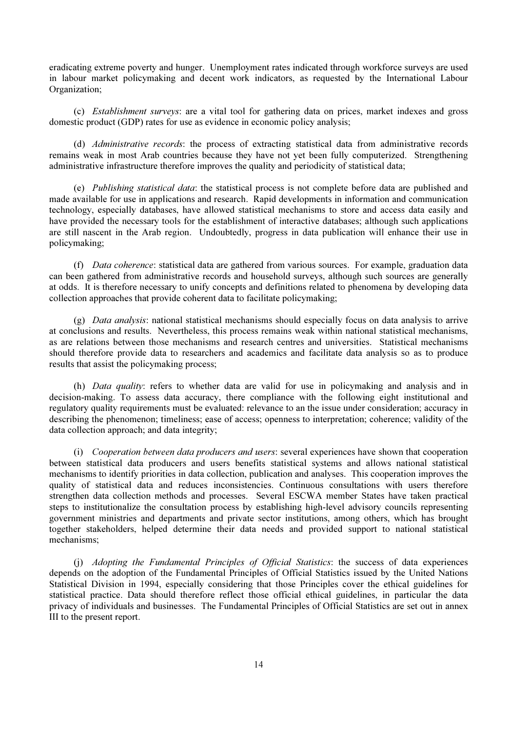eradicating extreme poverty and hunger. Unemployment rates indicated through workforce surveys are used in labour market policymaking and decent work indicators, as requested by the International Labour Organization;

 (c) *Establishment surveys*: are a vital tool for gathering data on prices, market indexes and gross domestic product (GDP) rates for use as evidence in economic policy analysis;

 (d) *Administrative records*: the process of extracting statistical data from administrative records remains weak in most Arab countries because they have not yet been fully computerized. Strengthening administrative infrastructure therefore improves the quality and periodicity of statistical data;

 (e) *Publishing statistical data*: the statistical process is not complete before data are published and made available for use in applications and research. Rapid developments in information and communication technology, especially databases, have allowed statistical mechanisms to store and access data easily and have provided the necessary tools for the establishment of interactive databases; although such applications are still nascent in the Arab region. Undoubtedly, progress in data publication will enhance their use in policymaking;

 (f) *Data coherence*: statistical data are gathered from various sources. For example, graduation data can been gathered from administrative records and household surveys, although such sources are generally at odds. It is therefore necessary to unify concepts and definitions related to phenomena by developing data collection approaches that provide coherent data to facilitate policymaking;

 (g) *Data analysis*: national statistical mechanisms should especially focus on data analysis to arrive at conclusions and results. Nevertheless, this process remains weak within national statistical mechanisms, as are relations between those mechanisms and research centres and universities. Statistical mechanisms should therefore provide data to researchers and academics and facilitate data analysis so as to produce results that assist the policymaking process;

 (h) *Data quality*: refers to whether data are valid for use in policymaking and analysis and in decision-making. To assess data accuracy, there compliance with the following eight institutional and regulatory quality requirements must be evaluated: relevance to an the issue under consideration; accuracy in describing the phenomenon; timeliness; ease of access; openness to interpretation; coherence; validity of the data collection approach; and data integrity;

 (i) *Cooperation between data producers and users*: several experiences have shown that cooperation between statistical data producers and users benefits statistical systems and allows national statistical mechanisms to identify priorities in data collection, publication and analyses. This cooperation improves the quality of statistical data and reduces inconsistencies. Continuous consultations with users therefore strengthen data collection methods and processes. Several ESCWA member States have taken practical steps to institutionalize the consultation process by establishing high-level advisory councils representing government ministries and departments and private sector institutions, among others, which has brought together stakeholders, helped determine their data needs and provided support to national statistical mechanisms;

 (j) *Adopting the Fundamental Principles of Official Statistics*: the success of data experiences depends on the adoption of the Fundamental Principles of Official Statistics issued by the United Nations Statistical Division in 1994, especially considering that those Principles cover the ethical guidelines for statistical practice. Data should therefore reflect those official ethical guidelines, in particular the data privacy of individuals and businesses. The Fundamental Principles of Official Statistics are set out in annex III to the present report.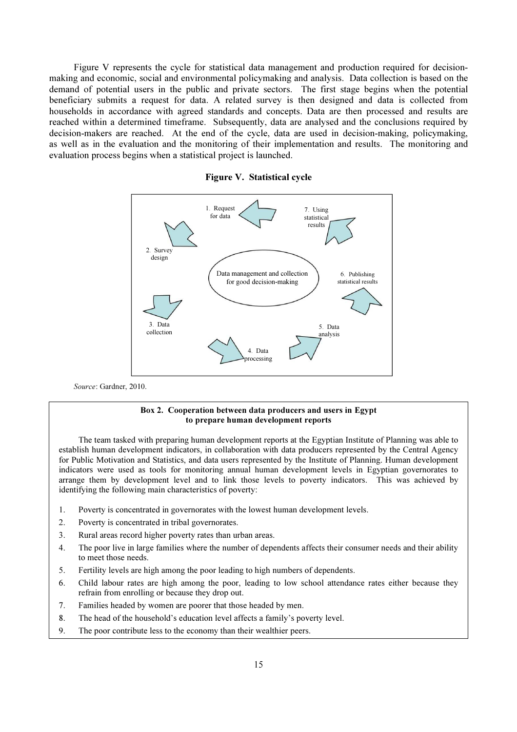Figure V represents the cycle for statistical data management and production required for decisionmaking and economic, social and environmental policymaking and analysis. Data collection is based on the demand of potential users in the public and private sectors. The first stage begins when the potential beneficiary submits a request for data. A related survey is then designed and data is collected from households in accordance with agreed standards and concepts. Data are then processed and results are reached within a determined timeframe. Subsequently, data are analysed and the conclusions required by decision-makers are reached. At the end of the cycle, data are used in decision-making, policymaking, as well as in the evaluation and the monitoring of their implementation and results. The monitoring and evaluation process begins when a statistical project is launched.





Source: Gardner, 2010.

#### Box 2. Cooperation between data producers and users in Egypt to prepare human development reports

 The team tasked with preparing human development reports at the Egyptian Institute of Planning was able to establish human development indicators, in collaboration with data producers represented by the Central Agency for Public Motivation and Statistics, and data users represented by the Institute of Planning. Human development indicators were used as tools for monitoring annual human development levels in Egyptian governorates to arrange them by development level and to link those levels to poverty indicators. This was achieved by identifying the following main characteristics of poverty:

- 1. Poverty is concentrated in governorates with the lowest human development levels.
- 2. Poverty is concentrated in tribal governorates.
- 3. Rural areas record higher poverty rates than urban areas.
- 4. The poor live in large families where the number of dependents affects their consumer needs and their ability to meet those needs.
- 5. Fertility levels are high among the poor leading to high numbers of dependents.
- 6. Child labour rates are high among the poor, leading to low school attendance rates either because they refrain from enrolling or because they drop out.
- 7. Families headed by women are poorer that those headed by men.
- 8. The head of the household's education level affects a family's poverty level.
- 9. The poor contribute less to the economy than their wealthier peers.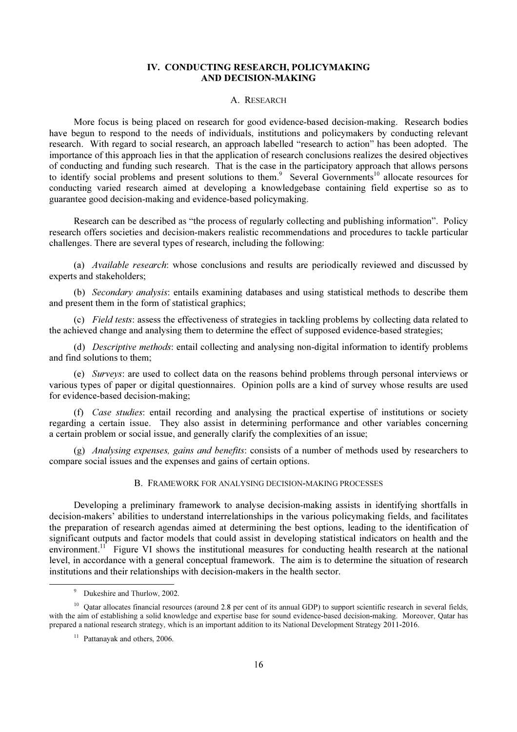### IV. CONDUCTING RESEARCH, POLICYMAKING AND DECISION-MAKING

#### A. RESEARCH

 More focus is being placed on research for good evidence-based decision-making. Research bodies have begun to respond to the needs of individuals, institutions and policymakers by conducting relevant research. With regard to social research, an approach labelled "research to action" has been adopted. The importance of this approach lies in that the application of research conclusions realizes the desired objectives of conducting and funding such research. That is the case in the participatory approach that allows persons to identify social problems and present solutions to them.<sup>9</sup> Several Governments<sup>10</sup> allocate resources for conducting varied research aimed at developing a knowledgebase containing field expertise so as to guarantee good decision-making and evidence-based policymaking.

 Research can be described as "the process of regularly collecting and publishing information". Policy research offers societies and decision-makers realistic recommendations and procedures to tackle particular challenges. There are several types of research, including the following:

 (a) *Available research*: whose conclusions and results are periodically reviewed and discussed by experts and stakeholders;

 (b) *Secondary analysis*: entails examining databases and using statistical methods to describe them and present them in the form of statistical graphics;

 (c) *Field tests*: assess the effectiveness of strategies in tackling problems by collecting data related to the achieved change and analysing them to determine the effect of supposed evidence-based strategies;

 (d) *Descriptive methods*: entail collecting and analysing non-digital information to identify problems and find solutions to them;

 (e) *Surveys*: are used to collect data on the reasons behind problems through personal interviews or various types of paper or digital questionnaires. Opinion polls are a kind of survey whose results are used for evidence-based decision-making;

 (f) *Case studies*: entail recording and analysing the practical expertise of institutions or society regarding a certain issue. They also assist in determining performance and other variables concerning a certain problem or social issue, and generally clarify the complexities of an issue;

 (g) *Analysing expenses, gains and benefits*: consists of a number of methods used by researchers to compare social issues and the expenses and gains of certain options.

#### B. FRAMEWORK FOR ANALYSING DECISION-MAKING PROCESSES

 Developing a preliminary framework to analyse decision-making assists in identifying shortfalls in decision-makers' abilities to understand interrelationships in the various policymaking fields, and facilitates the preparation of research agendas aimed at determining the best options, leading to the identification of significant outputs and factor models that could assist in developing statistical indicators on health and the environment.<sup>11</sup> Figure VI shows the institutional measures for conducting health research at the national level, in accordance with a general conceptual framework. The aim is to determine the situation of research institutions and their relationships with decision-makers in the health sector.

 $\ddot{\phantom{a}}$ 

<sup>&</sup>lt;sup>9</sup> Dukeshire and Thurlow, 2002.

 $10$  Qatar allocates financial resources (around 2.8 per cent of its annual GDP) to support scientific research in several fields, with the aim of establishing a solid knowledge and expertise base for sound evidence-based decision-making. Moreover, Qatar has prepared a national research strategy, which is an important addition to its National Development Strategy 2011-2016.

 $11$  Pattanayak and others, 2006.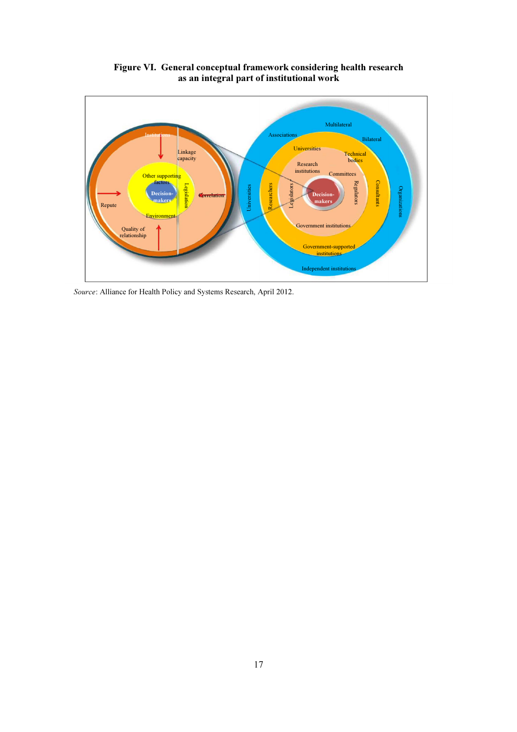

Figure VI. General conceptual framework considering health research as an integral part of institutional work

Source: Alliance for Health Policy and Systems Research, April 2012.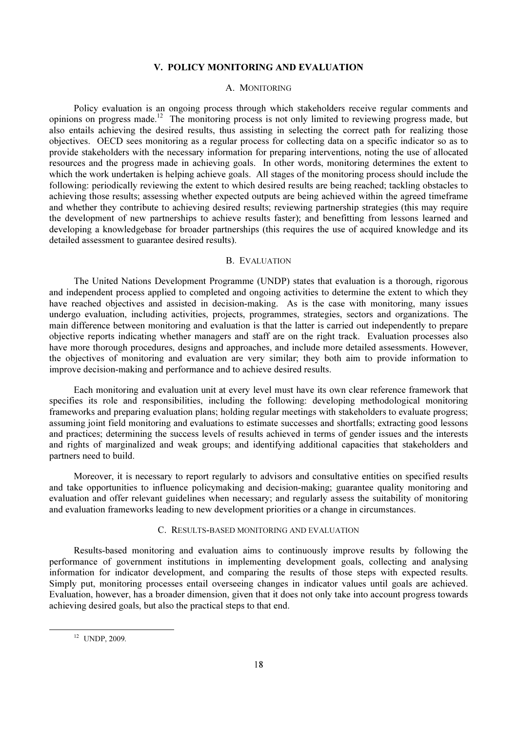### V. POLICY MONITORING AND EVALUATION

#### A. MONITORING

 Policy evaluation is an ongoing process through which stakeholders receive regular comments and opinions on progress made.<sup>12</sup> The monitoring process is not only limited to reviewing progress made, but also entails achieving the desired results, thus assisting in selecting the correct path for realizing those objectives. OECD sees monitoring as a regular process for collecting data on a specific indicator so as to provide stakeholders with the necessary information for preparing interventions, noting the use of allocated resources and the progress made in achieving goals. In other words, monitoring determines the extent to which the work undertaken is helping achieve goals. All stages of the monitoring process should include the following: periodically reviewing the extent to which desired results are being reached; tackling obstacles to achieving those results; assessing whether expected outputs are being achieved within the agreed timeframe and whether they contribute to achieving desired results; reviewing partnership strategies (this may require the development of new partnerships to achieve results faster); and benefitting from lessons learned and developing a knowledgebase for broader partnerships (this requires the use of acquired knowledge and its detailed assessment to guarantee desired results).

#### B. EVALUATION

 The United Nations Development Programme (UNDP) states that evaluation is a thorough, rigorous and independent process applied to completed and ongoing activities to determine the extent to which they have reached objectives and assisted in decision-making. As is the case with monitoring, many issues undergo evaluation, including activities, projects, programmes, strategies, sectors and organizations. The main difference between monitoring and evaluation is that the latter is carried out independently to prepare objective reports indicating whether managers and staff are on the right track. Evaluation processes also have more thorough procedures, designs and approaches, and include more detailed assessments. However, the objectives of monitoring and evaluation are very similar; they both aim to provide information to improve decision-making and performance and to achieve desired results.

 Each monitoring and evaluation unit at every level must have its own clear reference framework that specifies its role and responsibilities, including the following: developing methodological monitoring frameworks and preparing evaluation plans; holding regular meetings with stakeholders to evaluate progress; assuming joint field monitoring and evaluations to estimate successes and shortfalls; extracting good lessons and practices; determining the success levels of results achieved in terms of gender issues and the interests and rights of marginalized and weak groups; and identifying additional capacities that stakeholders and partners need to build.

 Moreover, it is necessary to report regularly to advisors and consultative entities on specified results and take opportunities to influence policymaking and decision-making; guarantee quality monitoring and evaluation and offer relevant guidelines when necessary; and regularly assess the suitability of monitoring and evaluation frameworks leading to new development priorities or a change in circumstances.

#### C. RESULTS-BASED MONITORING AND EVALUATION

 Results-based monitoring and evaluation aims to continuously improve results by following the performance of government institutions in implementing development goals, collecting and analysing information for indicator development, and comparing the results of those steps with expected results. Simply put, monitoring processes entail overseeing changes in indicator values until goals are achieved. Evaluation, however, has a broader dimension, given that it does not only take into account progress towards achieving desired goals, but also the practical steps to that end.

 $12$  UNDP, 2009.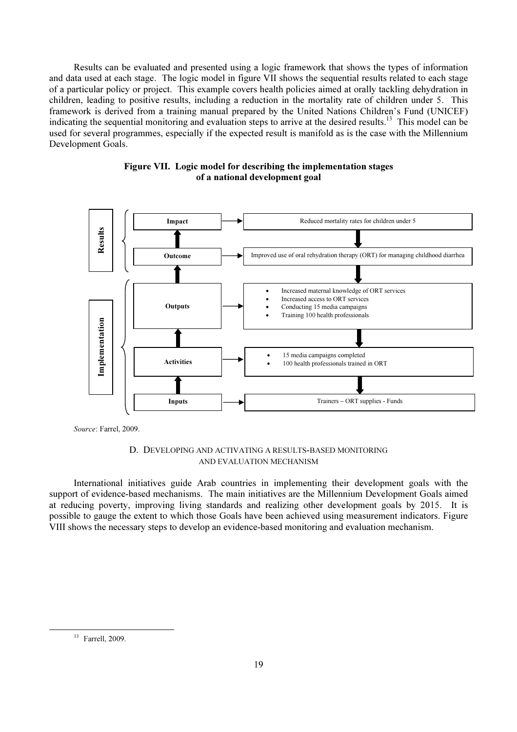Results can be evaluated and presented using a logic framework that shows the types of information and data used at each stage. The logic model in figure VII shows the sequential results related to each stage of a particular policy or project. This example covers health policies aimed at orally tackling dehydration in children, leading to positive results, including a reduction in the mortality rate of children under 5. This framework is derived from a training manual prepared by the United Nations Children's Fund (UNICEF) indicating the sequential monitoring and evaluation steps to arrive at the desired results.<sup>13</sup> This model can be used for several programmes, especially if the expected result is manifold as is the case with the Millennium Development Goals.



# Figure VII. Logic model for describing the implementation stages of a national development goal

Source: Farrel, 2009.

### D. DEVELOPING AND ACTIVATING A RESULTS-BASED MONITORING AND EVALUATION MECHANISM

 International initiatives guide Arab countries in implementing their development goals with the support of evidence-based mechanisms. The main initiatives are the Millennium Development Goals aimed at reducing poverty, improving living standards and realizing other development goals by 2015. It is possible to gauge the extent to which those Goals have been achieved using measurement indicators. Figure VIII shows the necessary steps to develop an evidence-based monitoring and evaluation mechanism.

<sup>13</sup> Farrell, 2009.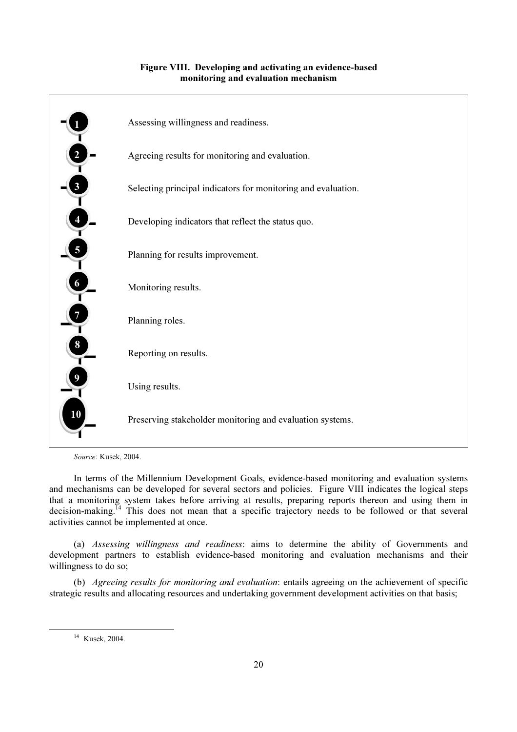

# Figure VIII. Developing and activating an evidence-based monitoring and evaluation mechanism

Source: Kusek, 2004.

 In terms of the Millennium Development Goals, evidence-based monitoring and evaluation systems and mechanisms can be developed for several sectors and policies. Figure VIII indicates the logical steps that a monitoring system takes before arriving at results, preparing reports thereon and using them in decision-making.<sup>14</sup> This does not mean that a specific trajectory needs to be followed or that several activities cannot be implemented at once.

 (a) *Assessing willingness and readiness*: aims to determine the ability of Governments and development partners to establish evidence-based monitoring and evaluation mechanisms and their willingness to do so;

 (b) *Agreeing results for monitoring and evaluation*: entails agreeing on the achievement of specific strategic results and allocating resources and undertaking government development activities on that basis;

<sup>14</sup> Kusek, 2004.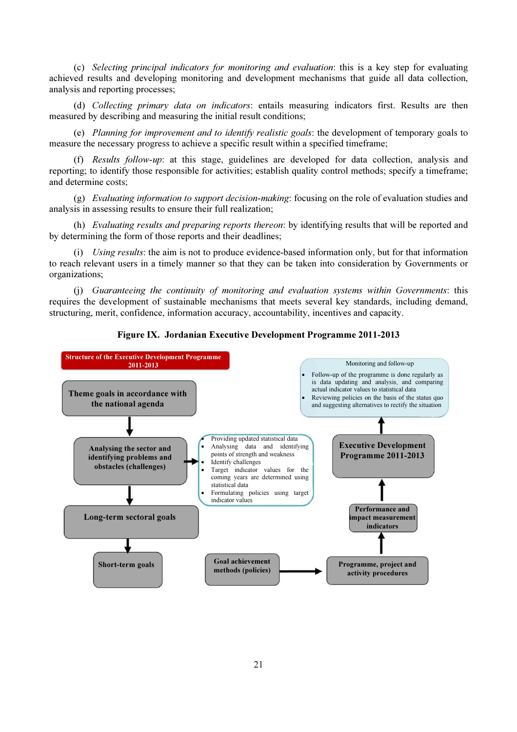(c) *Selecting principal indicators for monitoring and evaluation*: this is a key step for evaluating achieved results and developing monitoring and development mechanisms that guide all data collection, analysis and reporting processes;

 (d) *Collecting primary data on indicators*: entails measuring indicators first. Results are then measured by describing and measuring the initial result conditions;

 (e) *Planning for improvement and to identify realistic goals*: the development of temporary goals to measure the necessary progress to achieve a specific result within a specified timeframe;

 (f) *Results follow-up*: at this stage, guidelines are developed for data collection, analysis and reporting; to identify those responsible for activities; establish quality control methods; specify a timeframe; and determine costs;

 (g) *Evaluating information to support decision-making*: focusing on the role of evaluation studies and analysis in assessing results to ensure their full realization;

 (h) *Evaluating results and preparing reports thereon*: by identifying results that will be reported and by determining the form of those reports and their deadlines;

 (i) *Using results*: the aim is not to produce evidence-based information only, but for that information to reach relevant users in a timely manner so that they can be taken into consideration by Governments or organizations;

 (j) *Guaranteeing the continuity of monitoring and evaluation systems within Governments*: this requires the development of sustainable mechanisms that meets several key standards, including demand, structuring, merit, confidence, information accuracy, accountability, incentives and capacity.



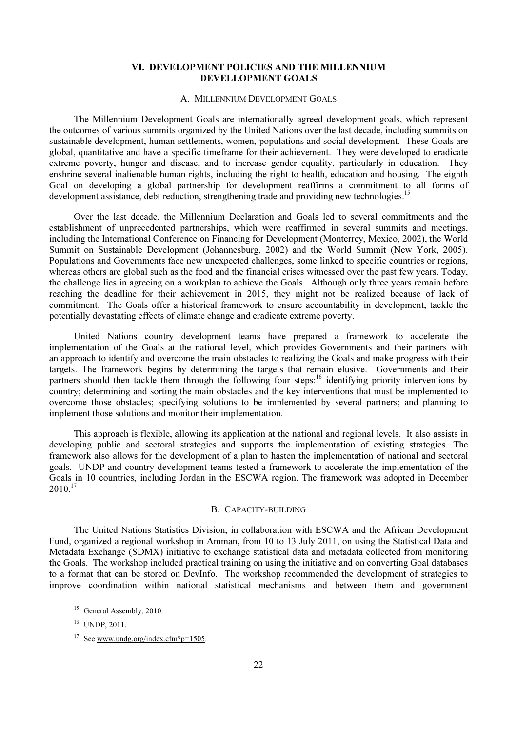### VI. DEVELOPMENT POLICIES AND THE MILLENNIUM DEVELLOPMENT GOALS

#### A. MILLENNIUM DEVELOPMENT GOALS

 The Millennium Development Goals are internationally agreed development goals, which represent the outcomes of various summits organized by the United Nations over the last decade, including summits on sustainable development, human settlements, women, populations and social development. These Goals are global, quantitative and have a specific timeframe for their achievement. They were developed to eradicate extreme poverty, hunger and disease, and to increase gender equality, particularly in education. They enshrine several inalienable human rights, including the right to health, education and housing. The eighth Goal on developing a global partnership for development reaffirms a commitment to all forms of development assistance, debt reduction, strengthening trade and providing new technologies.<sup>15</sup>

 Over the last decade, the Millennium Declaration and Goals led to several commitments and the establishment of unprecedented partnerships, which were reaffirmed in several summits and meetings, including the International Conference on Financing for Development (Monterrey, Mexico, 2002), the World Summit on Sustainable Development (Johannesburg, 2002) and the World Summit (New York, 2005). Populations and Governments face new unexpected challenges, some linked to specific countries or regions, whereas others are global such as the food and the financial crises witnessed over the past few years. Today, the challenge lies in agreeing on a workplan to achieve the Goals. Although only three years remain before reaching the deadline for their achievement in 2015, they might not be realized because of lack of commitment. The Goals offer a historical framework to ensure accountability in development, tackle the potentially devastating effects of climate change and eradicate extreme poverty.

 United Nations country development teams have prepared a framework to accelerate the implementation of the Goals at the national level, which provides Governments and their partners with an approach to identify and overcome the main obstacles to realizing the Goals and make progress with their targets. The framework begins by determining the targets that remain elusive. Governments and their partners should then tackle them through the following four steps:<sup>16</sup> identifying priority interventions by country; determining and sorting the main obstacles and the key interventions that must be implemented to overcome those obstacles; specifying solutions to be implemented by several partners; and planning to implement those solutions and monitor their implementation.

 This approach is flexible, allowing its application at the national and regional levels. It also assists in developing public and sectoral strategies and supports the implementation of existing strategies. The framework also allows for the development of a plan to hasten the implementation of national and sectoral goals. UNDP and country development teams tested a framework to accelerate the implementation of the Goals in 10 countries, including Jordan in the ESCWA region. The framework was adopted in December  $2010.<sup>17</sup>$ 

#### B. CAPACITY-BUILDING

 The United Nations Statistics Division, in collaboration with ESCWA and the African Development Fund, organized a regional workshop in Amman, from 10 to 13 July 2011, on using the Statistical Data and Metadata Exchange (SDMX) initiative to exchange statistical data and metadata collected from monitoring the Goals. The workshop included practical training on using the initiative and on converting Goal databases to a format that can be stored on DevInfo. The workshop recommended the development of strategies to improve coordination within national statistical mechanisms and between them and government

<sup>&</sup>lt;sup>15</sup> General Assembly, 2010.

<sup>16</sup> UNDP, 2011.

<sup>&</sup>lt;sup>17</sup> See www.undg.org/index.cfm?p=1505.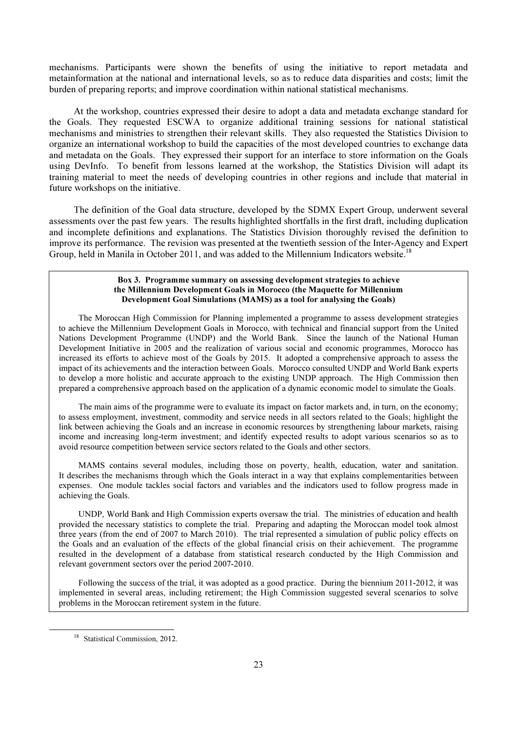mechanisms. Participants were shown the benefits of using the initiative to report metadata and metainformation at the national and international levels, so as to reduce data disparities and costs; limit the burden of preparing reports; and improve coordination within national statistical mechanisms.

 At the workshop, countries expressed their desire to adopt a data and metadata exchange standard for the Goals. They requested ESCWA to organize additional training sessions for national statistical mechanisms and ministries to strengthen their relevant skills. They also requested the Statistics Division to organize an international workshop to build the capacities of the most developed countries to exchange data and metadata on the Goals. They expressed their support for an interface to store information on the Goals using DevInfo. To benefit from lessons learned at the workshop, the Statistics Division will adapt its training material to meet the needs of developing countries in other regions and include that material in future workshops on the initiative.

 The definition of the Goal data structure, developed by the SDMX Expert Group, underwent several assessments over the past few years. The results highlighted shortfalls in the first draft, including duplication and incomplete definitions and explanations. The Statistics Division thoroughly revised the definition to improve its performance. The revision was presented at the twentieth session of the Inter-Agency and Expert Group, held in Manila in October 2011, and was added to the Millennium Indicators website.<sup>18</sup>

#### Box 3. Programme summary on assessing development strategies to achieve the Millennium Development Goals in Morocco (the Maquette for Millennium Development Goal Simulations (MAMS) as a tool for analysing the Goals)

 The Moroccan High Commission for Planning implemented a programme to assess development strategies to achieve the Millennium Development Goals in Morocco, with technical and financial support from the United Nations Development Programme (UNDP) and the World Bank. Since the launch of the National Human Development Initiative in 2005 and the realization of various social and economic programmes, Morocco has increased its efforts to achieve most of the Goals by 2015. It adopted a comprehensive approach to assess the impact of its achievements and the interaction between Goals. Morocco consulted UNDP and World Bank experts to develop a more holistic and accurate approach to the existing UNDP approach. The High Commission then prepared a comprehensive approach based on the application of a dynamic economic model to simulate the Goals.

 The main aims of the programme were to evaluate its impact on factor markets and, in turn, on the economy; to assess employment, investment, commodity and service needs in all sectors related to the Goals; highlight the link between achieving the Goals and an increase in economic resources by strengthening labour markets, raising income and increasing long-term investment; and identify expected results to adopt various scenarios so as to avoid resource competition between service sectors related to the Goals and other sectors.

 MAMS contains several modules, including those on poverty, health, education, water and sanitation. It describes the mechanisms through which the Goals interact in a way that explains complementarities between expenses. One module tackles social factors and variables and the indicators used to follow progress made in achieving the Goals.

 UNDP, World Bank and High Commission experts oversaw the trial. The ministries of education and health provided the necessary statistics to complete the trial. Preparing and adapting the Moroccan model took almost three years (from the end of 2007 to March 2010). The trial represented a simulation of public policy effects on the Goals and an evaluation of the effects of the global financial crisis on their achievement. The programme resulted in the development of a database from statistical research conducted by the High Commission and relevant government sectors over the period 2007-2010.

 Following the success of the trial, it was adopted as a good practice. During the biennium 2011-2012, it was implemented in several areas, including retirement; the High Commission suggested several scenarios to solve problems in the Moroccan retirement system in the future.

<sup>&</sup>lt;sup>18</sup> Statistical Commission, 2012.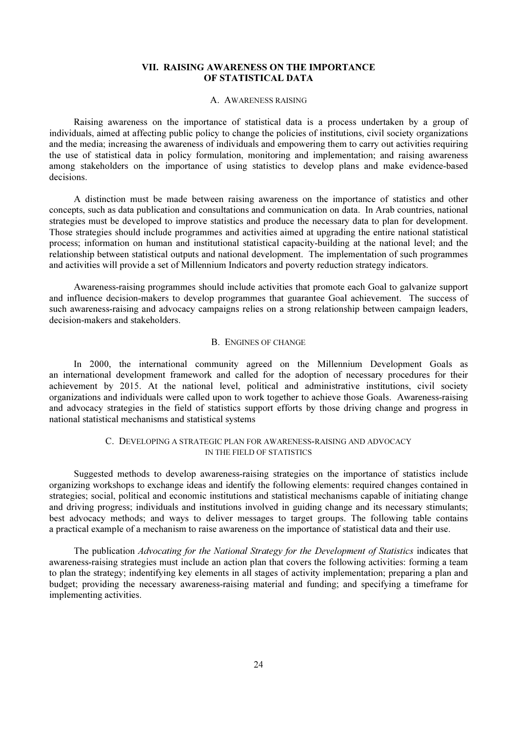### VII. RAISING AWARENESS ON THE IMPORTANCE OF STATISTICAL DATA

#### A. AWARENESS RAISING

 Raising awareness on the importance of statistical data is a process undertaken by a group of individuals, aimed at affecting public policy to change the policies of institutions, civil society organizations and the media; increasing the awareness of individuals and empowering them to carry out activities requiring the use of statistical data in policy formulation, monitoring and implementation; and raising awareness among stakeholders on the importance of using statistics to develop plans and make evidence-based decisions.

 A distinction must be made between raising awareness on the importance of statistics and other concepts, such as data publication and consultations and communication on data. In Arab countries, national strategies must be developed to improve statistics and produce the necessary data to plan for development. Those strategies should include programmes and activities aimed at upgrading the entire national statistical process; information on human and institutional statistical capacity-building at the national level; and the relationship between statistical outputs and national development. The implementation of such programmes and activities will provide a set of Millennium Indicators and poverty reduction strategy indicators.

 Awareness-raising programmes should include activities that promote each Goal to galvanize support and influence decision-makers to develop programmes that guarantee Goal achievement. The success of such awareness-raising and advocacy campaigns relies on a strong relationship between campaign leaders, decision-makers and stakeholders.

### B. ENGINES OF CHANGE

 In 2000, the international community agreed on the Millennium Development Goals as an international development framework and called for the adoption of necessary procedures for their achievement by 2015. At the national level, political and administrative institutions, civil society organizations and individuals were called upon to work together to achieve those Goals. Awareness-raising and advocacy strategies in the field of statistics support efforts by those driving change and progress in national statistical mechanisms and statistical systems

### C. DEVELOPING A STRATEGIC PLAN FOR AWARENESS-RAISING AND ADVOCACY IN THE FIELD OF STATISTICS

 Suggested methods to develop awareness-raising strategies on the importance of statistics include organizing workshops to exchange ideas and identify the following elements: required changes contained in strategies; social, political and economic institutions and statistical mechanisms capable of initiating change and driving progress; individuals and institutions involved in guiding change and its necessary stimulants; best advocacy methods; and ways to deliver messages to target groups. The following table contains a practical example of a mechanism to raise awareness on the importance of statistical data and their use.

 The publication *Advocating for the National Strategy for the Development of Statistics* indicates that awareness-raising strategies must include an action plan that covers the following activities: forming a team to plan the strategy; indentifying key elements in all stages of activity implementation; preparing a plan and budget; providing the necessary awareness-raising material and funding; and specifying a timeframe for implementing activities.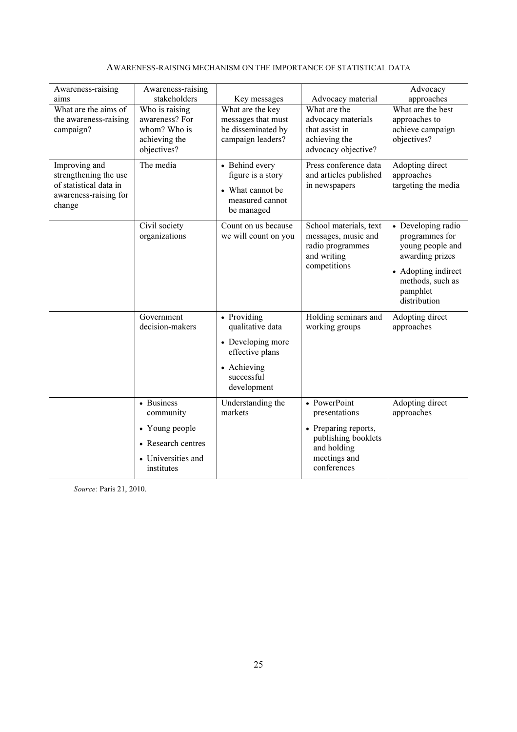| Awareness-raising                                                                                   | Awareness-raising                                                        |                                                                                          |                                                                                                  | Advocacy                                                                                                                                           |
|-----------------------------------------------------------------------------------------------------|--------------------------------------------------------------------------|------------------------------------------------------------------------------------------|--------------------------------------------------------------------------------------------------|----------------------------------------------------------------------------------------------------------------------------------------------------|
| aims<br>What are the aims of                                                                        | stakeholders                                                             | Key messages                                                                             | Advocacy material<br>What are the                                                                | approaches<br>What are the best                                                                                                                    |
| the awareness-raising                                                                               | Who is raising<br>awareness? For                                         | What are the key<br>messages that must                                                   | advocacy materials                                                                               | approaches to                                                                                                                                      |
| campaign?                                                                                           | whom? Who is                                                             | be disseminated by                                                                       | that assist in                                                                                   | achieve campaign                                                                                                                                   |
|                                                                                                     | achieving the<br>objectives?                                             | campaign leaders?                                                                        | achieving the<br>advocacy objective?                                                             | objectives?                                                                                                                                        |
| Improving and<br>strengthening the use<br>of statistical data in<br>awareness-raising for<br>change | The media                                                                | • Behind every<br>figure is a story<br>• What cannot be<br>measured cannot<br>be managed | Press conference data<br>and articles published<br>in newspapers                                 | Adopting direct<br>approaches<br>targeting the media                                                                                               |
|                                                                                                     | Civil society<br>organizations                                           | Count on us because<br>we will count on you                                              | School materials, text<br>messages, music and<br>radio programmes<br>and writing<br>competitions | • Developing radio<br>programmes for<br>young people and<br>awarding prizes<br>• Adopting indirect<br>methods, such as<br>pamphlet<br>distribution |
|                                                                                                     | Government<br>decision-makers                                            | • Providing<br>qualitative data                                                          | Holding seminars and<br>working groups                                                           | Adopting direct<br>approaches                                                                                                                      |
|                                                                                                     |                                                                          | • Developing more<br>effective plans                                                     |                                                                                                  |                                                                                                                                                    |
|                                                                                                     |                                                                          | • Achieving<br>successful<br>development                                                 |                                                                                                  |                                                                                                                                                    |
|                                                                                                     | • Business<br>community                                                  | Understanding the<br>markets                                                             | • PowerPoint<br>presentations                                                                    | Adopting direct<br>approaches                                                                                                                      |
|                                                                                                     | • Young people<br>• Research centres<br>• Universities and<br>institutes |                                                                                          | • Preparing reports,<br>publishing booklets<br>and holding<br>meetings and<br>conferences        |                                                                                                                                                    |

### AWARENESS-RAISING MECHANISM ON THE IMPORTANCE OF STATISTICAL DATA

Source: Paris 21, 2010.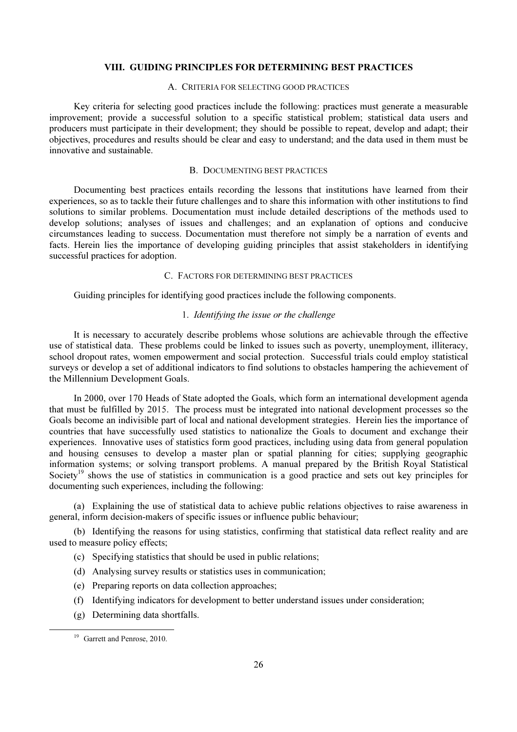### VIII. GUIDING PRINCIPLES FOR DETERMINING BEST PRACTICES

### A. CRITERIA FOR SELECTING GOOD PRACTICES

 Key criteria for selecting good practices include the following: practices must generate a measurable improvement; provide a successful solution to a specific statistical problem; statistical data users and producers must participate in their development; they should be possible to repeat, develop and adapt; their objectives, procedures and results should be clear and easy to understand; and the data used in them must be innovative and sustainable.

#### B. DOCUMENTING BEST PRACTICES

 Documenting best practices entails recording the lessons that institutions have learned from their experiences, so as to tackle their future challenges and to share this information with other institutions to find solutions to similar problems. Documentation must include detailed descriptions of the methods used to develop solutions; analyses of issues and challenges; and an explanation of options and conducive circumstances leading to success. Documentation must therefore not simply be a narration of events and facts. Herein lies the importance of developing guiding principles that assist stakeholders in identifying successful practices for adoption.

#### C. FACTORS FOR DETERMINING BEST PRACTICES

Guiding principles for identifying good practices include the following components.

#### 1. *Identifying the issue or the challenge*

 It is necessary to accurately describe problems whose solutions are achievable through the effective use of statistical data. These problems could be linked to issues such as poverty, unemployment, illiteracy, school dropout rates, women empowerment and social protection. Successful trials could employ statistical surveys or develop a set of additional indicators to find solutions to obstacles hampering the achievement of the Millennium Development Goals.

 In 2000, over 170 Heads of State adopted the Goals, which form an international development agenda that must be fulfilled by 2015. The process must be integrated into national development processes so the Goals become an indivisible part of local and national development strategies. Herein lies the importance of countries that have successfully used statistics to nationalize the Goals to document and exchange their experiences. Innovative uses of statistics form good practices, including using data from general population and housing censuses to develop a master plan or spatial planning for cities; supplying geographic information systems; or solving transport problems. A manual prepared by the British Royal Statistical Society<sup>19</sup> shows the use of statistics in communication is a good practice and sets out key principles for documenting such experiences, including the following:

 (a) Explaining the use of statistical data to achieve public relations objectives to raise awareness in general, inform decision-makers of specific issues or influence public behaviour;

 (b) Identifying the reasons for using statistics, confirming that statistical data reflect reality and are used to measure policy effects;

- (c) Specifying statistics that should be used in public relations;
- (d) Analysing survey results or statistics uses in communication;
- (e) Preparing reports on data collection approaches;
- (f) Identifying indicators for development to better understand issues under consideration;
- (g) Determining data shortfalls.

<sup>&</sup>lt;sup>19</sup> Garrett and Penrose, 2010.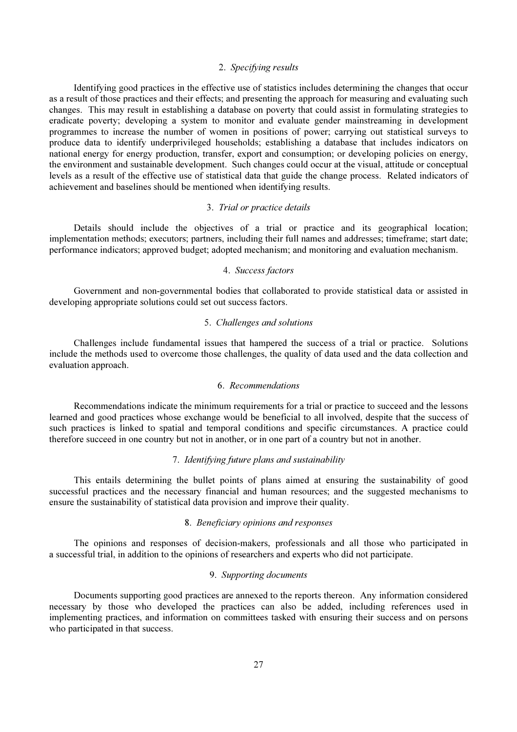### 2. *Specifying results*

 Identifying good practices in the effective use of statistics includes determining the changes that occur as a result of those practices and their effects; and presenting the approach for measuring and evaluating such changes. This may result in establishing a database on poverty that could assist in formulating strategies to eradicate poverty; developing a system to monitor and evaluate gender mainstreaming in development programmes to increase the number of women in positions of power; carrying out statistical surveys to produce data to identify underprivileged households; establishing a database that includes indicators on national energy for energy production, transfer, export and consumption; or developing policies on energy, the environment and sustainable development. Such changes could occur at the visual, attitude or conceptual levels as a result of the effective use of statistical data that guide the change process. Related indicators of achievement and baselines should be mentioned when identifying results.

#### 3. *Trial or practice details*

Details should include the objectives of a trial or practice and its geographical location; implementation methods; executors; partners, including their full names and addresses; timeframe; start date; performance indicators; approved budget; adopted mechanism; and monitoring and evaluation mechanism.

#### 4. *Success factors*

 Government and non-governmental bodies that collaborated to provide statistical data or assisted in developing appropriate solutions could set out success factors.

#### 5. *Challenges and solutions*

 Challenges include fundamental issues that hampered the success of a trial or practice. Solutions include the methods used to overcome those challenges, the quality of data used and the data collection and evaluation approach.

### 6. *Recommendations*

 Recommendations indicate the minimum requirements for a trial or practice to succeed and the lessons learned and good practices whose exchange would be beneficial to all involved, despite that the success of such practices is linked to spatial and temporal conditions and specific circumstances. A practice could therefore succeed in one country but not in another, or in one part of a country but not in another.

### 7. *Identifying future plans and sustainability*

 This entails determining the bullet points of plans aimed at ensuring the sustainability of good successful practices and the necessary financial and human resources; and the suggested mechanisms to ensure the sustainability of statistical data provision and improve their quality.

### 8. *Beneficiary opinions and responses*

 The opinions and responses of decision-makers, professionals and all those who participated in a successful trial, in addition to the opinions of researchers and experts who did not participate.

### 9. *Supporting documents*

 Documents supporting good practices are annexed to the reports thereon. Any information considered necessary by those who developed the practices can also be added, including references used in implementing practices, and information on committees tasked with ensuring their success and on persons who participated in that success.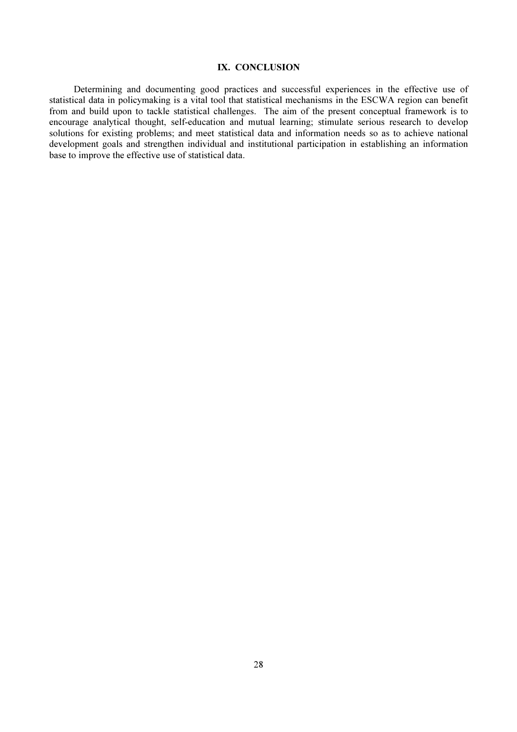# IX. CONCLUSION

Determining and documenting good practices and successful experiences in the effective use of statistical data in policymaking is a vital tool that statistical mechanisms in the ESCWA region can benefit from and build upon to tackle statistical challenges. The aim of the present conceptual framework is to encourage analytical thought, self-education and mutual learning; stimulate serious research to develop solutions for existing problems; and meet statistical data and information needs so as to achieve national development goals and strengthen individual and institutional participation in establishing an information base to improve the effective use of statistical data.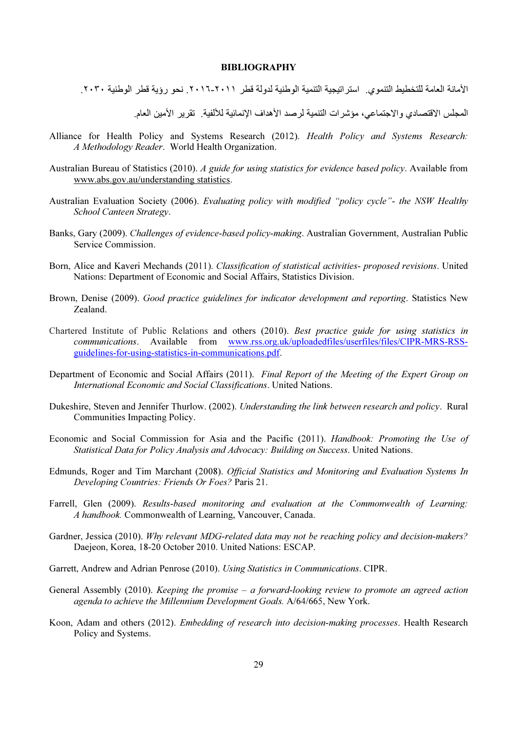#### BIBLIOGRAPHY

الأمانة العامة للتخطيط التنموي. استر اتيجية التنمية الوطنية لدولة قطر ٢٠١١-٢٠١٦. نحو رؤية قطر الوطنية ٢٠٣٠.

المجلس الاقتصادي والاجتماعي، مؤشرات التنمية لرصد الأهداف الإنمائية للألفية \_ تقرير الأمين العام \_

- Alliance for Health Policy and Systems Research (2012). *Health Policy and Systems Research: A Methodology Reader*. World Health Organization.
- Australian Bureau of Statistics (2010). *A guide for using statistics for evidence based policy*. Available from www.abs.gov.au/understanding statistics.
- Australian Evaluation Society (2006). *Evaluating policy with modified "policy cycle"- the NSW Healthy School Canteen Strategy*.
- Banks, Gary (2009). *Challenges of evidence-based policy-making*. Australian Government, Australian Public Service Commission.
- Born, Alice and Kaveri Mechands (2011). *Classification of statistical activities- proposed revisions*. United Nations: Department of Economic and Social Affairs, Statistics Division.
- Brown, Denise (2009). *Good practice guidelines for indicator development and reporting*. Statistics New Zealand.
- Chartered Institute of Public Relations and others (2010). *Best practice guide for using statistics in communications*. Available from www.rss.org.uk/uploadedfiles/userfiles/files/CIPR-MRS-RSSguidelines-for-using-statistics-in-communications.pdf.
- Department of Economic and Social Affairs (2011). *Final Report of the Meeting of the Expert Group on International Economic and Social Classifications*. United Nations.
- Dukeshire, Steven and Jennifer Thurlow. (2002). *Understanding the link between research and policy*. Rural Communities Impacting Policy.
- Economic and Social Commission for Asia and the Pacific (2011). *Handbook: Promoting the Use of Statistical Data for Policy Analysis and Advocacy: Building on Success*. United Nations.
- Edmunds, Roger and Tim Marchant (2008). *Official Statistics and Monitoring and Evaluation Systems In Developing Countries: Friends Or Foes?* Paris 21.
- Farrell, Glen (2009). *Results-based monitoring and evaluation at the Commonwealth of Learning: A handbook.* Commonwealth of Learning, Vancouver, Canada.
- Gardner, Jessica (2010). *Why relevant MDG-related data may not be reaching policy and decision-makers?* Daejeon, Korea, 18-20 October 2010. United Nations: ESCAP.
- Garrett, Andrew and Adrian Penrose (2010). *Using Statistics in Communications*. CIPR.
- General Assembly (2010). *Keeping the promise a forward-looking review to promote an agreed action agenda to achieve the Millennium Development Goals.* A/64/665, New York.
- Koon, Adam and others (2012). *Embedding of research into decision-making processes*. Health Research Policy and Systems.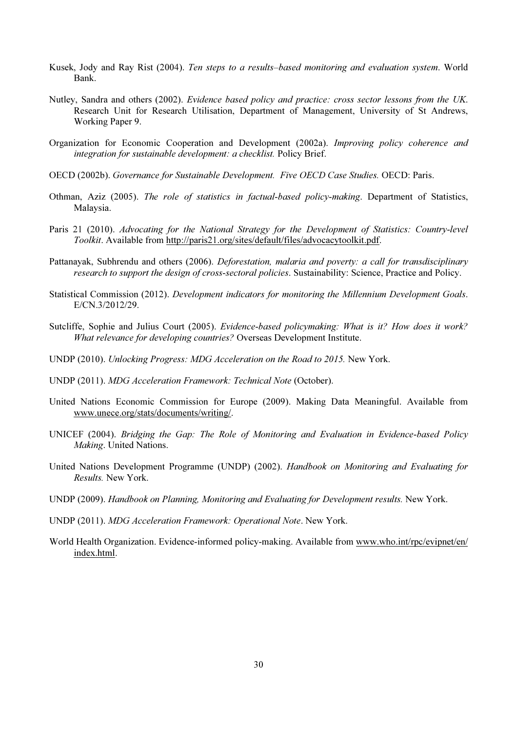- Kusek, Jody and Ray Rist (2004). *Ten steps to a results–based monitoring and evaluation system*. World Bank.
- Nutley, Sandra and others (2002). *Evidence based policy and practice: cross sector lessons from the UK*. Research Unit for Research Utilisation, Department of Management, University of St Andrews, Working Paper 9.
- Organization for Economic Cooperation and Development (2002a). *Improving policy coherence and integration for sustainable development: a checklist.* Policy Brief.
- OECD (2002b). *Governance for Sustainable Development. Five OECD Case Studies.* OECD: Paris.
- Othman, Aziz (2005). *The role of statistics in factual-based policy-making*. Department of Statistics, Malaysia.
- Paris 21 (2010). *Advocating for the National Strategy for the Development of Statistics: Country-level Toolkit*. Available from http://paris21.org/sites/default/files/advocacytoolkit.pdf.
- Pattanayak, Subhrendu and others (2006). *Deforestation, malaria and poverty: a call for transdisciplinary research to support the design of cross-sectoral policies*. Sustainability: Science, Practice and Policy.
- Statistical Commission (2012). *Development indicators for monitoring the Millennium Development Goals*. E/CN.3/2012/29.
- Sutcliffe, Sophie and Julius Court (2005). *Evidence-based policymaking: What is it? How does it work? What relevance for developing countries?* Overseas Development Institute.
- UNDP (2010). *Unlocking Progress: MDG Acceleration on the Road to 2015.* New York.
- UNDP (2011). *MDG Acceleration Framework: Technical Note* (October).
- United Nations Economic Commission for Europe (2009). Making Data Meaningful. Available from www.unece.org/stats/documents/writing/.
- UNICEF (2004). *Bridging the Gap: The Role of Monitoring and Evaluation in Evidence-based Policy Making*. United Nations.
- United Nations Development Programme (UNDP) (2002). *Handbook on Monitoring and Evaluating for Results.* New York.
- UNDP (2009). *Handbook on Planning, Monitoring and Evaluating for Development results.* New York.
- UNDP (2011). *MDG Acceleration Framework: Operational Note*. New York.
- World Health Organization. Evidence-informed policy-making. Available from www.who.int/rpc/evipnet/en/ index.html.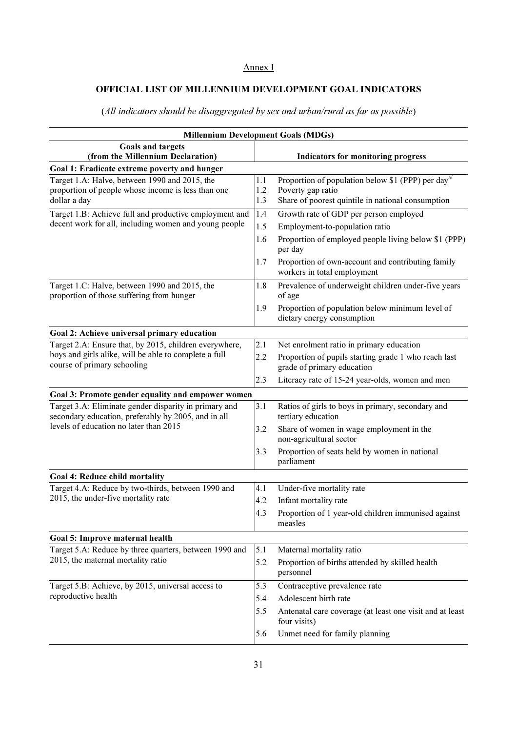### Annex I

### OFFICIAL LIST OF MILLENNIUM DEVELOPMENT GOAL INDICATORS

Millennium Development Goals (MDGs) Goals and targets (from the Millennium Declaration)  $\vert$  Indicators for monitoring progress Goal 1: Eradicate extreme poverty and hunger Target 1.A: Halve, between 1990 and 2015, the proportion of people whose income is less than one dollar a day 1.1 Proportion of population below \$1 (PPP) per day<sup>al</sup> 1.2 Poverty gap ratio 1.3 Share of poorest quintile in national consumption Target 1.B: Achieve full and productive employment and decent work for all, including women and young people 1.4 Growth rate of GDP per person employed 1.5 Employment-to-population ratio 1.6 Proportion of employed people living below \$1 (PPP) per day 1.7 Proportion of own-account and contributing family workers in total employment Target 1.C: Halve, between 1990 and 2015, the proportion of those suffering from hunger 1.8 Prevalence of underweight children under-five years of age 1.9 Proportion of population below minimum level of dietary energy consumption Goal 2: Achieve universal primary education Target 2.A: Ensure that, by 2015, children everywhere, boys and girls alike, will be able to complete a full course of primary schooling 2.1 Net enrolment ratio in primary education 2.2 Proportion of pupils starting grade 1 who reach last grade of primary education 2.3 Literacy rate of 15-24 year-olds, women and men Goal 3: Promote gender equality and empower women Target 3.A: Eliminate gender disparity in primary and secondary education, preferably by 2005, and in all levels of education no later than 2015 3.1 Ratios of girls to boys in primary, secondary and tertiary education 3.2 Share of women in wage employment in the non-agricultural sector 3.3 Proportion of seats held by women in national parliament Goal 4: Reduce child mortality Target 4.A: Reduce by two-thirds, between 1990 and 2015, the under-five mortality rate 4.1 Under-five mortality rate 4.2 Infant mortality rate 4.3 Proportion of 1 year-old children immunised against measles Goal 5: Improve maternal health Target 5.A: Reduce by three quarters, between 1990 and 2015, the maternal mortality ratio 5.1 Maternal mortality ratio 5.2 Proportion of births attended by skilled health personnel Target 5.B: Achieve, by 2015, universal access to reproductive health 5.3 Contraceptive prevalence rate 5.4 Adolescent birth rate 5.5 Antenatal care coverage (at least one visit and at least four visits) 5.6 Unmet need for family planning

(*All indicators should be disaggregated by sex and urban/rural as far as possible*)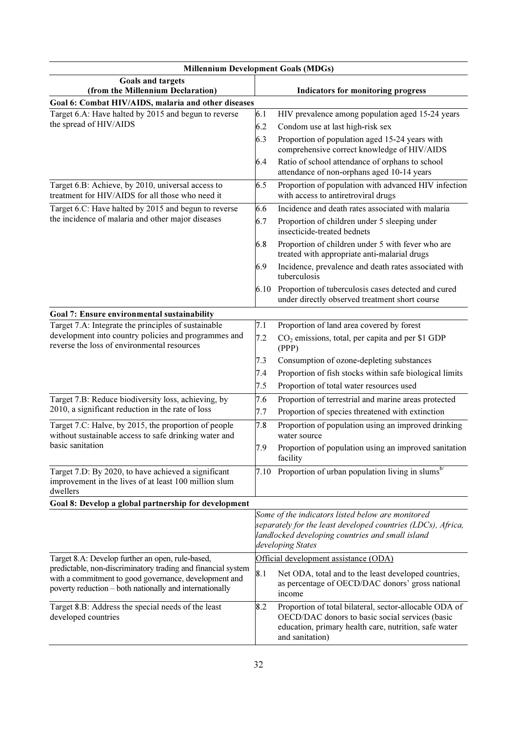| <b>Millennium Development Goals (MDGs)</b>                                                                                                                                       |                                                                                                                                                                                            |                                                                                                                                                                                       |  |  |
|----------------------------------------------------------------------------------------------------------------------------------------------------------------------------------|--------------------------------------------------------------------------------------------------------------------------------------------------------------------------------------------|---------------------------------------------------------------------------------------------------------------------------------------------------------------------------------------|--|--|
| Goals and targets<br>(from the Millennium Declaration)                                                                                                                           | Indicators for monitoring progress                                                                                                                                                         |                                                                                                                                                                                       |  |  |
| Goal 6: Combat HIV/AIDS, malaria and other diseases                                                                                                                              |                                                                                                                                                                                            |                                                                                                                                                                                       |  |  |
| Target 6.A: Have halted by 2015 and begun to reverse                                                                                                                             | 6.1                                                                                                                                                                                        | HIV prevalence among population aged 15-24 years                                                                                                                                      |  |  |
| the spread of HIV/AIDS                                                                                                                                                           | 6.2                                                                                                                                                                                        | Condom use at last high-risk sex                                                                                                                                                      |  |  |
|                                                                                                                                                                                  |                                                                                                                                                                                            | Proportion of population aged 15-24 years with<br>comprehensive correct knowledge of HIV/AIDS                                                                                         |  |  |
|                                                                                                                                                                                  |                                                                                                                                                                                            | Ratio of school attendance of orphans to school<br>attendance of non-orphans aged 10-14 years                                                                                         |  |  |
| Target 6.B: Achieve, by 2010, universal access to<br>treatment for HIV/AIDS for all those who need it                                                                            | 6.5                                                                                                                                                                                        | Proportion of population with advanced HIV infection<br>with access to antiretroviral drugs                                                                                           |  |  |
| Target 6.C: Have halted by 2015 and begun to reverse                                                                                                                             | 6.6                                                                                                                                                                                        | Incidence and death rates associated with malaria                                                                                                                                     |  |  |
| the incidence of malaria and other major diseases                                                                                                                                | 6.7                                                                                                                                                                                        | Proportion of children under 5 sleeping under<br>insecticide-treated bednets                                                                                                          |  |  |
|                                                                                                                                                                                  | 6.8                                                                                                                                                                                        | Proportion of children under 5 with fever who are<br>treated with appropriate anti-malarial drugs                                                                                     |  |  |
|                                                                                                                                                                                  | 6.9                                                                                                                                                                                        | Incidence, prevalence and death rates associated with<br>tuberculosis                                                                                                                 |  |  |
|                                                                                                                                                                                  | 6.10                                                                                                                                                                                       | Proportion of tuberculosis cases detected and cured<br>under directly observed treatment short course                                                                                 |  |  |
| Goal 7: Ensure environmental sustainability                                                                                                                                      |                                                                                                                                                                                            |                                                                                                                                                                                       |  |  |
| Target 7.A: Integrate the principles of sustainable                                                                                                                              | 7.1                                                                                                                                                                                        | Proportion of land area covered by forest                                                                                                                                             |  |  |
| development into country policies and programmes and<br>reverse the loss of environmental resources                                                                              | 7.2                                                                                                                                                                                        | $CO2$ emissions, total, per capita and per \$1 GDP<br>(PPP)                                                                                                                           |  |  |
|                                                                                                                                                                                  | 7.3                                                                                                                                                                                        | Consumption of ozone-depleting substances                                                                                                                                             |  |  |
|                                                                                                                                                                                  | 7.4                                                                                                                                                                                        | Proportion of fish stocks within safe biological limits                                                                                                                               |  |  |
|                                                                                                                                                                                  | 7.5                                                                                                                                                                                        | Proportion of total water resources used                                                                                                                                              |  |  |
| Target 7.B: Reduce biodiversity loss, achieving, by<br>7.6                                                                                                                       |                                                                                                                                                                                            | Proportion of terrestrial and marine areas protected                                                                                                                                  |  |  |
| 2010, a significant reduction in the rate of loss                                                                                                                                | 7.7                                                                                                                                                                                        | Proportion of species threatened with extinction                                                                                                                                      |  |  |
| Target 7.C: Halve, by 2015, the proportion of people<br>7.8<br>without sustainable access to safe drinking water and                                                             |                                                                                                                                                                                            | Proportion of population using an improved drinking<br>water source                                                                                                                   |  |  |
| basic sanitation                                                                                                                                                                 | 7.9                                                                                                                                                                                        | Proportion of population using an improved sanitation<br>facility                                                                                                                     |  |  |
| Target 7.D: By 2020, to have achieved a significant<br>improvement in the lives of at least 100 million slum<br>dwellers                                                         |                                                                                                                                                                                            | 7.10 Proportion of urban population living in slums <sup>b/</sup>                                                                                                                     |  |  |
| Goal 8: Develop a global partnership for development                                                                                                                             |                                                                                                                                                                                            |                                                                                                                                                                                       |  |  |
|                                                                                                                                                                                  | Some of the indicators listed below are monitored<br>separately for the least developed countries (LDCs), Africa,<br>landlocked developing countries and small island<br>developing States |                                                                                                                                                                                       |  |  |
| Target 8.A: Develop further an open, rule-based,                                                                                                                                 |                                                                                                                                                                                            | Official development assistance (ODA)                                                                                                                                                 |  |  |
| predictable, non-discriminatory trading and financial system<br>with a commitment to good governance, development and<br>poverty reduction - both nationally and internationally | 8.1                                                                                                                                                                                        | Net ODA, total and to the least developed countries,<br>as percentage of OECD/DAC donors' gross national<br>income                                                                    |  |  |
| Target 8.B: Address the special needs of the least<br>developed countries                                                                                                        | 8.2                                                                                                                                                                                        | Proportion of total bilateral, sector-allocable ODA of<br>OECD/DAC donors to basic social services (basic<br>education, primary health care, nutrition, safe water<br>and sanitation) |  |  |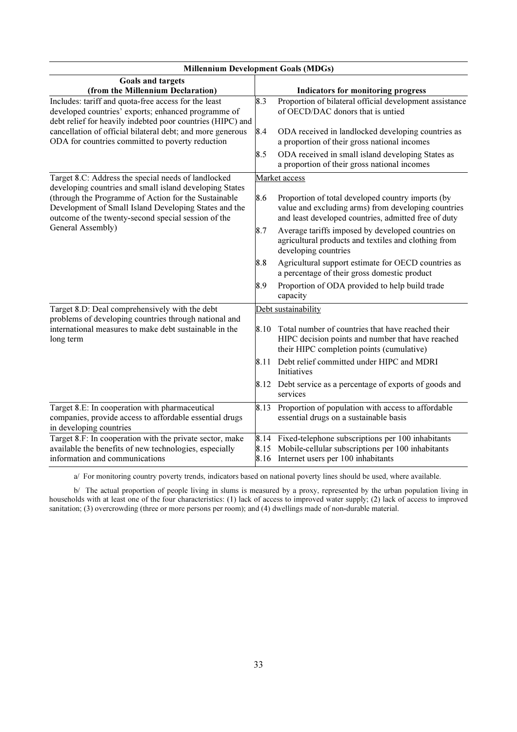| <b>Millennium Development Goals (MDGs)</b>                                                                                                                                  |              |                                                                                                                                                                  |  |
|-----------------------------------------------------------------------------------------------------------------------------------------------------------------------------|--------------|------------------------------------------------------------------------------------------------------------------------------------------------------------------|--|
| <b>Goals and targets</b><br>(from the Millennium Declaration)                                                                                                               |              | <b>Indicators for monitoring progress</b>                                                                                                                        |  |
| Includes: tariff and quota-free access for the least<br>developed countries' exports; enhanced programme of<br>debt relief for heavily indebted poor countries (HIPC) and   | 8.3          | Proportion of bilateral official development assistance<br>of OECD/DAC donors that is untied                                                                     |  |
| cancellation of official bilateral debt; and more generous<br>ODA for countries committed to poverty reduction                                                              | 8.4          | ODA received in landlocked developing countries as<br>a proportion of their gross national incomes                                                               |  |
|                                                                                                                                                                             | 8.5          | ODA received in small island developing States as<br>a proportion of their gross national incomes                                                                |  |
| Target 8.C: Address the special needs of landlocked<br>developing countries and small island developing States                                                              |              | Market access                                                                                                                                                    |  |
| (through the Programme of Action for the Sustainable<br>8.6<br>Development of Small Island Developing States and the<br>outcome of the twenty-second special session of the |              | Proportion of total developed country imports (by<br>value and excluding arms) from developing countries<br>and least developed countries, admitted free of duty |  |
| General Assembly)                                                                                                                                                           | 8.7          | Average tariffs imposed by developed countries on<br>agricultural products and textiles and clothing from<br>developing countries                                |  |
|                                                                                                                                                                             | 8.8          | Agricultural support estimate for OECD countries as<br>a percentage of their gross domestic product                                                              |  |
|                                                                                                                                                                             | 8.9          | Proportion of ODA provided to help build trade<br>capacity                                                                                                       |  |
| Target 8.D: Deal comprehensively with the debt<br>problems of developing countries through national and                                                                     |              | Debt sustainability                                                                                                                                              |  |
| international measures to make debt sustainable in the<br>long term                                                                                                         | 8.10         | Total number of countries that have reached their<br>HIPC decision points and number that have reached<br>their HIPC completion points (cumulative)              |  |
|                                                                                                                                                                             | 8.11         | Debt relief committed under HIPC and MDRI<br>Initiatives                                                                                                         |  |
|                                                                                                                                                                             |              | 8.12 Debt service as a percentage of exports of goods and<br>services                                                                                            |  |
| Target 8.E: In cooperation with pharmaceutical<br>companies, provide access to affordable essential drugs<br>in developing countries                                        | 8.13         | Proportion of population with access to affordable<br>essential drugs on a sustainable basis                                                                     |  |
| Target 8.F: In cooperation with the private sector, make<br>available the benefits of new technologies, especially<br>information and communications                        | 8.14<br>8.15 | Fixed-telephone subscriptions per 100 inhabitants<br>Mobile-cellular subscriptions per 100 inhabitants<br>8.16 Internet users per 100 inhabitants                |  |

a/ For monitoring country poverty trends, indicators based on national poverty lines should be used, where available.

 b/ The actual proportion of people living in slums is measured by a proxy, represented by the urban population living in households with at least one of the four characteristics: (1) lack of access to improved water supply; (2) lack of access to improved sanitation; (3) overcrowding (three or more persons per room); and (4) dwellings made of non-durable material.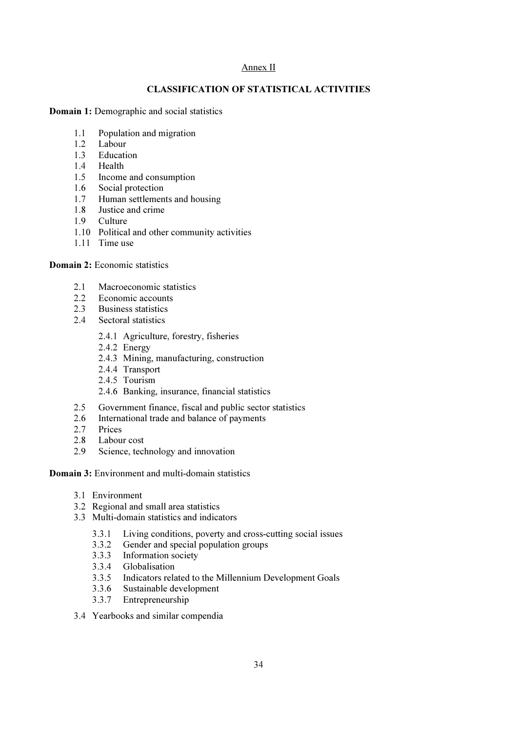# Annex II

# CLASSIFICATION OF STATISTICAL ACTIVITIES

Domain 1: Demographic and social statistics

- 1.1 Population and migration
- 1.2 Labour
- 1.3 Education
- 1.4 Health
- 1.5 Income and consumption
- 1.6 Social protection
- 1.7 Human settlements and housing
- 1.8 Justice and crime
- 1.9 Culture
- 1.10 Political and other community activities
- 1.11 Time use

Domain 2: Economic statistics

- 2.1 Macroeconomic statistics
- 2.2 Economic accounts<br>2.3 Business statistics
- **Business statistics**
- 2.4 Sectoral statistics
	- 2.4.1 Agriculture, forestry, fisheries
	- 2.4.2 Energy
	- 2.4.3 Mining, manufacturing, construction
	- 2.4.4 Transport
	- 2.4.5 Tourism
	- 2.4.6 Banking, insurance, financial statistics
- 2.5 Government finance, fiscal and public sector statistics
- 2.6 International trade and balance of payments
- 2.7 Prices
- 
- 2.8 Labour cost<br>2.9 Science, tecl Science, technology and innovation

Domain 3: Environment and multi-domain statistics

- 3.1 Environment
- 3.2 Regional and small area statistics
- 3.3 Multi-domain statistics and indicators
	- 3.3.1 Living conditions, poverty and cross-cutting social issues
	- 3.3.2 Gender and special population groups
	- 3.3.3 Information society
	- 3.3.4 Globalisation
	- 3.3.5 Indicators related to the Millennium Development Goals
	- 3.3.6 Sustainable development<br>3.3.7 Entrepreneurship
	- **Entrepreneurship**
- 3.4 Yearbooks and similar compendia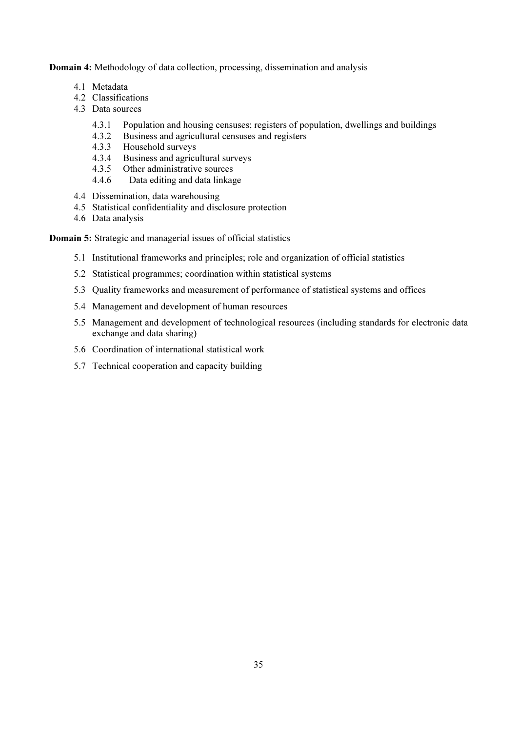Domain 4: Methodology of data collection, processing, dissemination and analysis

- 4.1 Metadata
- 4.2 Classifications
- 4.3 Data sources
	- 4.3.1 Population and housing censuses; registers of population, dwellings and buildings
	- 4.3.2 Business and agricultural censuses and registers<br>4.3.3 Household surveys
	- Household surveys
	- 4.3.4 Business and agricultural surveys
	- 4.3.5 Other administrative sources
	- 4.4.6 Data editing and data linkage
- 4.4 Dissemination, data warehousing
- 4.5 Statistical confidentiality and disclosure protection
- 4.6 Data analysis

Domain 5: Strategic and managerial issues of official statistics

- 5.1 Institutional frameworks and principles; role and organization of official statistics
- 5.2 Statistical programmes; coordination within statistical systems
- 5.3 Quality frameworks and measurement of performance of statistical systems and offices
- 5.4 Management and development of human resources
- 5.5 Management and development of technological resources (including standards for electronic data exchange and data sharing)
- 5.6 Coordination of international statistical work
- 5.7 Technical cooperation and capacity building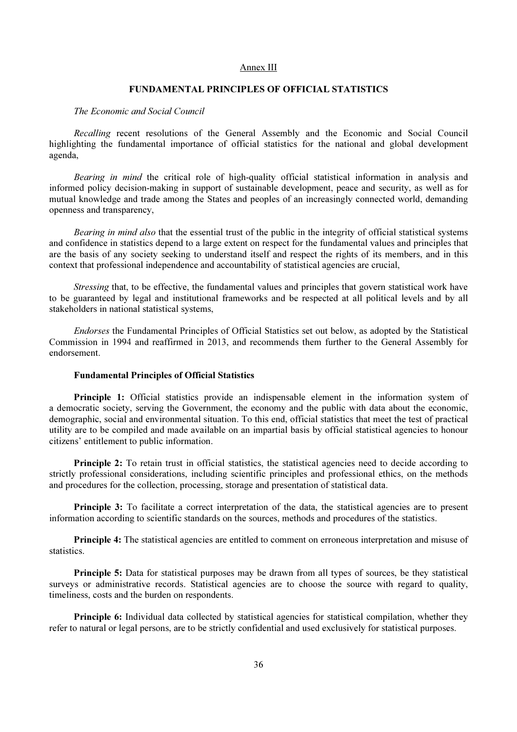### Annex III

### FUNDAMENTAL PRINCIPLES OF OFFICIAL STATISTICS

#### *The Economic and Social Council*

 *Recalling* recent resolutions of the General Assembly and the Economic and Social Council highlighting the fundamental importance of official statistics for the national and global development agenda,

 *Bearing in mind* the critical role of high-quality official statistical information in analysis and informed policy decision-making in support of sustainable development, peace and security, as well as for mutual knowledge and trade among the States and peoples of an increasingly connected world, demanding openness and transparency,

 *Bearing in mind also* that the essential trust of the public in the integrity of official statistical systems and confidence in statistics depend to a large extent on respect for the fundamental values and principles that are the basis of any society seeking to understand itself and respect the rights of its members, and in this context that professional independence and accountability of statistical agencies are crucial,

*Stressing* that, to be effective, the fundamental values and principles that govern statistical work have to be guaranteed by legal and institutional frameworks and be respected at all political levels and by all stakeholders in national statistical systems,

 *Endorses* the Fundamental Principles of Official Statistics set out below, as adopted by the Statistical Commission in 1994 and reaffirmed in 2013, and recommends them further to the General Assembly for endorsement.

### Fundamental Principles of Official Statistics

**Principle 1:** Official statistics provide an indispensable element in the information system of a democratic society, serving the Government, the economy and the public with data about the economic, demographic, social and environmental situation. To this end, official statistics that meet the test of practical utility are to be compiled and made available on an impartial basis by official statistical agencies to honour citizens' entitlement to public information.

**Principle 2:** To retain trust in official statistics, the statistical agencies need to decide according to strictly professional considerations, including scientific principles and professional ethics, on the methods and procedures for the collection, processing, storage and presentation of statistical data.

**Principle 3:** To facilitate a correct interpretation of the data, the statistical agencies are to present information according to scientific standards on the sources, methods and procedures of the statistics.

 Principle 4: The statistical agencies are entitled to comment on erroneous interpretation and misuse of statistics.

 Principle 5: Data for statistical purposes may be drawn from all types of sources, be they statistical surveys or administrative records. Statistical agencies are to choose the source with regard to quality, timeliness, costs and the burden on respondents.

**Principle 6:** Individual data collected by statistical agencies for statistical compilation, whether they refer to natural or legal persons, are to be strictly confidential and used exclusively for statistical purposes.